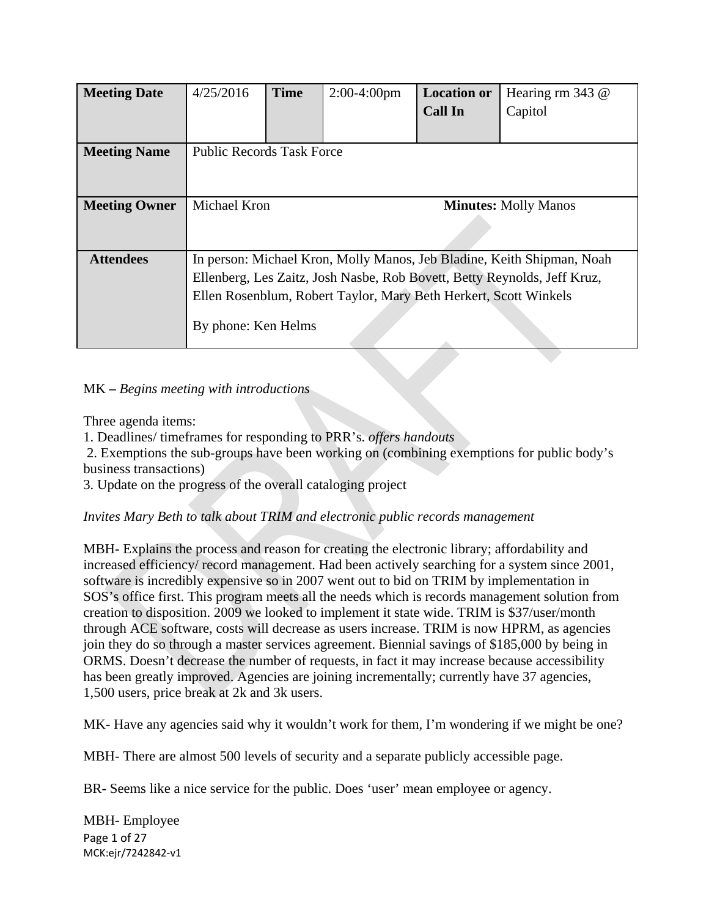| <b>Meeting Date</b>  | 4/25/2016                                                                | <b>Time</b> | $2:00-4:00$ pm | <b>Location or</b> | Hearing rm 343 @ |
|----------------------|--------------------------------------------------------------------------|-------------|----------------|--------------------|------------------|
|                      |                                                                          |             |                | <b>Call In</b>     | Capitol          |
|                      |                                                                          |             |                |                    |                  |
| <b>Meeting Name</b>  | <b>Public Records Task Force</b>                                         |             |                |                    |                  |
|                      |                                                                          |             |                |                    |                  |
|                      |                                                                          |             |                |                    |                  |
| <b>Meeting Owner</b> | Michael Kron<br><b>Minutes: Molly Manos</b>                              |             |                |                    |                  |
|                      |                                                                          |             |                |                    |                  |
|                      |                                                                          |             |                |                    |                  |
| <b>Attendees</b>     | In person: Michael Kron, Molly Manos, Jeb Bladine, Keith Shipman, Noah   |             |                |                    |                  |
|                      | Ellenberg, Les Zaitz, Josh Nasbe, Rob Bovett, Betty Reynolds, Jeff Kruz, |             |                |                    |                  |
|                      | Ellen Rosenblum, Robert Taylor, Mary Beth Herkert, Scott Winkels         |             |                |                    |                  |
|                      |                                                                          |             |                |                    |                  |
|                      | By phone: Ken Helms                                                      |             |                |                    |                  |
|                      |                                                                          |             |                |                    |                  |

#### MK **–** *Begins meeting with introductions*

Three agenda items:

1. Deadlines/ timeframes for responding to PRR's. *offers handouts*

 2. Exemptions the sub-groups have been working on (combining exemptions for public body's business transactions)

3. Update on the progress of the overall cataloging project

# *Invites Mary Beth to talk about TRIM and electronic public records management*

MBH**-** Explains the process and reason for creating the electronic library; affordability and increased efficiency/ record management. Had been actively searching for a system since 2001, software is incredibly expensive so in 2007 went out to bid on TRIM by implementation in SOS's office first. This program meets all the needs which is records management solution from creation to disposition. 2009 we looked to implement it state wide. TRIM is \$37/user/month through ACE software, costs will decrease as users increase. TRIM is now HPRM, as agencies join they do so through a master services agreement. Biennial savings of \$185,000 by being in ORMS. Doesn't decrease the number of requests, in fact it may increase because accessibility has been greatly improved. Agencies are joining incrementally; currently have 37 agencies, 1,500 users, price break at 2k and 3k users.

MK- Have any agencies said why it wouldn't work for them, I'm wondering if we might be one?

MBH- There are almost 500 levels of security and a separate publicly accessible page.

BR**-** Seems like a nice service for the public. Does 'user' mean employee or agency.

Page 1 of 27 MCK:ejr/7242842‐v1 MBH- Employee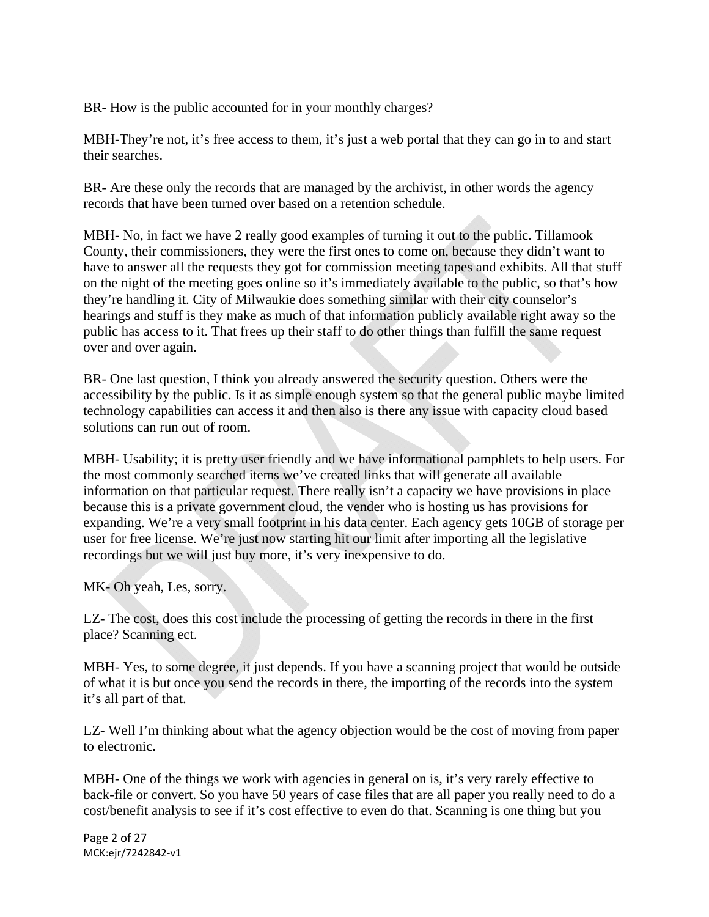BR- How is the public accounted for in your monthly charges?

MBH-They're not, it's free access to them, it's just a web portal that they can go in to and start their searches.

BR- Are these only the records that are managed by the archivist, in other words the agency records that have been turned over based on a retention schedule.

MBH- No, in fact we have 2 really good examples of turning it out to the public. Tillamook County, their commissioners, they were the first ones to come on, because they didn't want to have to answer all the requests they got for commission meeting tapes and exhibits. All that stuff on the night of the meeting goes online so it's immediately available to the public, so that's how they're handling it. City of Milwaukie does something similar with their city counselor's hearings and stuff is they make as much of that information publicly available right away so the public has access to it. That frees up their staff to do other things than fulfill the same request over and over again.

BR- One last question, I think you already answered the security question. Others were the accessibility by the public. Is it as simple enough system so that the general public maybe limited technology capabilities can access it and then also is there any issue with capacity cloud based solutions can run out of room.

MBH- Usability; it is pretty user friendly and we have informational pamphlets to help users. For the most commonly searched items we've created links that will generate all available information on that particular request. There really isn't a capacity we have provisions in place because this is a private government cloud, the vender who is hosting us has provisions for expanding. We're a very small footprint in his data center. Each agency gets 10GB of storage per user for free license. We're just now starting hit our limit after importing all the legislative recordings but we will just buy more, it's very inexpensive to do.

MK- Oh yeah, Les, sorry.

LZ- The cost, does this cost include the processing of getting the records in there in the first place? Scanning ect.

MBH- Yes, to some degree, it just depends. If you have a scanning project that would be outside of what it is but once you send the records in there, the importing of the records into the system it's all part of that.

LZ- Well I'm thinking about what the agency objection would be the cost of moving from paper to electronic.

MBH- One of the things we work with agencies in general on is, it's very rarely effective to back-file or convert. So you have 50 years of case files that are all paper you really need to do a cost/benefit analysis to see if it's cost effective to even do that. Scanning is one thing but you

Page 2 of 27 MCK:ejr/7242842‐v1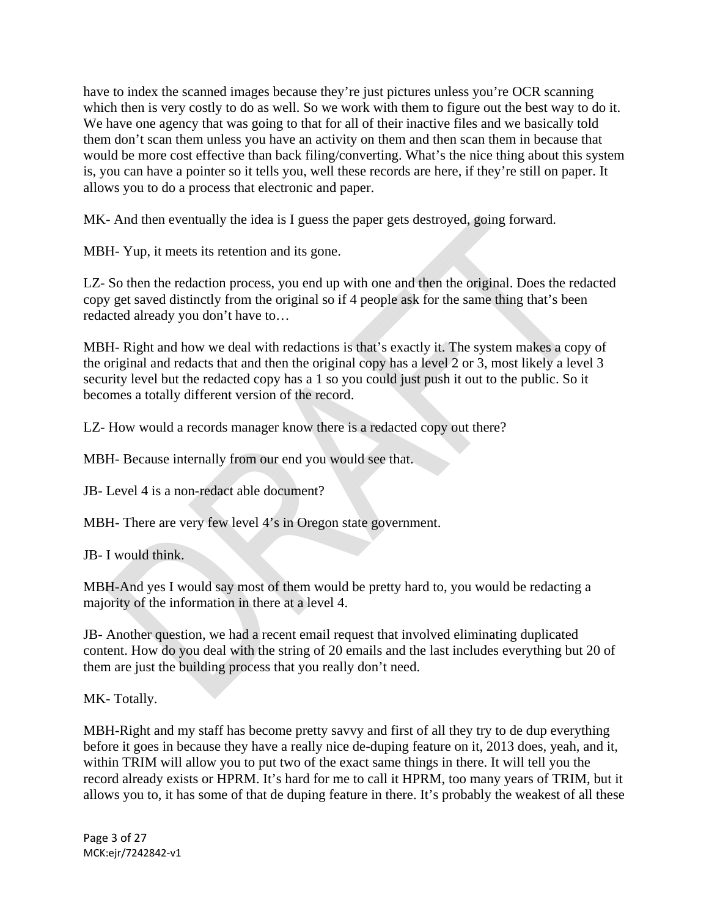have to index the scanned images because they're just pictures unless you're OCR scanning which then is very costly to do as well. So we work with them to figure out the best way to do it. We have one agency that was going to that for all of their inactive files and we basically told them don't scan them unless you have an activity on them and then scan them in because that would be more cost effective than back filing/converting. What's the nice thing about this system is, you can have a pointer so it tells you, well these records are here, if they're still on paper. It allows you to do a process that electronic and paper.

MK- And then eventually the idea is I guess the paper gets destroyed, going forward.

MBH- Yup, it meets its retention and its gone.

LZ- So then the redaction process, you end up with one and then the original. Does the redacted copy get saved distinctly from the original so if 4 people ask for the same thing that's been redacted already you don't have to…

MBH- Right and how we deal with redactions is that's exactly it. The system makes a copy of the original and redacts that and then the original copy has a level 2 or 3, most likely a level 3 security level but the redacted copy has a 1 so you could just push it out to the public. So it becomes a totally different version of the record.

LZ- How would a records manager know there is a redacted copy out there?

MBH- Because internally from our end you would see that.

JB- Level 4 is a non-redact able document?

MBH- There are very few level 4's in Oregon state government.

JB- I would think.

MBH-And yes I would say most of them would be pretty hard to, you would be redacting a majority of the information in there at a level 4.

JB- Another question, we had a recent email request that involved eliminating duplicated content. How do you deal with the string of 20 emails and the last includes everything but 20 of them are just the building process that you really don't need.

MK- Totally.

MBH-Right and my staff has become pretty savvy and first of all they try to de dup everything before it goes in because they have a really nice de-duping feature on it, 2013 does, yeah, and it, within TRIM will allow you to put two of the exact same things in there. It will tell you the record already exists or HPRM. It's hard for me to call it HPRM, too many years of TRIM, but it allows you to, it has some of that de duping feature in there. It's probably the weakest of all these

Page 3 of 27 MCK:ejr/7242842‐v1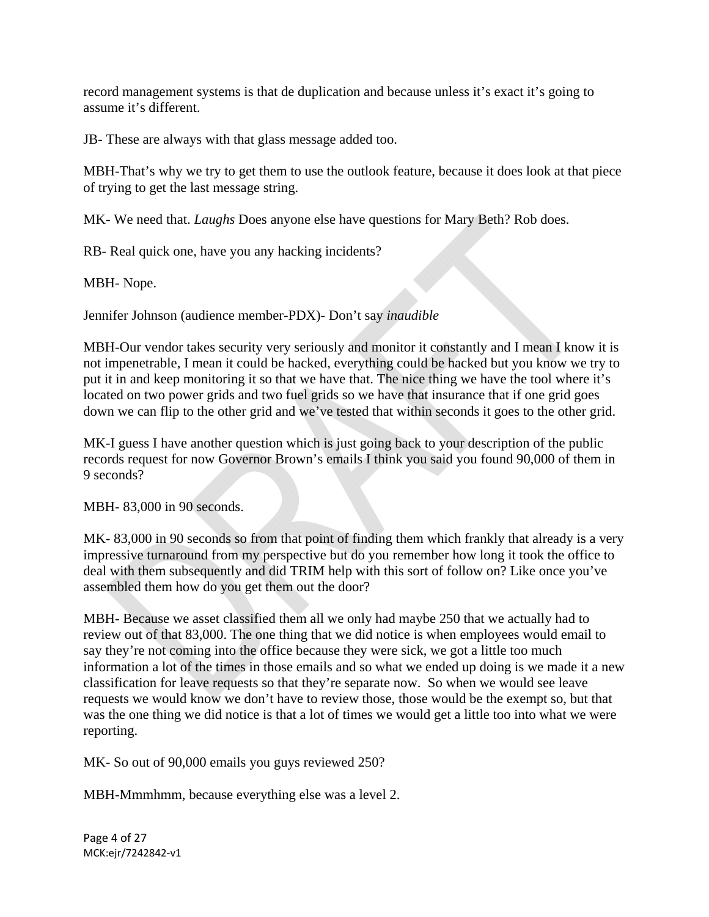record management systems is that de duplication and because unless it's exact it's going to assume it's different.

JB- These are always with that glass message added too.

MBH-That's why we try to get them to use the outlook feature, because it does look at that piece of trying to get the last message string.

MK- We need that. *Laughs* Does anyone else have questions for Mary Beth? Rob does.

RB- Real quick one, have you any hacking incidents?

MBH- Nope.

Jennifer Johnson (audience member-PDX)- Don't say *inaudible* 

MBH-Our vendor takes security very seriously and monitor it constantly and I mean I know it is not impenetrable, I mean it could be hacked, everything could be hacked but you know we try to put it in and keep monitoring it so that we have that. The nice thing we have the tool where it's located on two power grids and two fuel grids so we have that insurance that if one grid goes down we can flip to the other grid and we've tested that within seconds it goes to the other grid.

MK-I guess I have another question which is just going back to your description of the public records request for now Governor Brown's emails I think you said you found 90,000 of them in 9 seconds?

MBH- 83,000 in 90 seconds.

MK- 83,000 in 90 seconds so from that point of finding them which frankly that already is a very impressive turnaround from my perspective but do you remember how long it took the office to deal with them subsequently and did TRIM help with this sort of follow on? Like once you've assembled them how do you get them out the door?

MBH- Because we asset classified them all we only had maybe 250 that we actually had to review out of that 83,000. The one thing that we did notice is when employees would email to say they're not coming into the office because they were sick, we got a little too much information a lot of the times in those emails and so what we ended up doing is we made it a new classification for leave requests so that they're separate now. So when we would see leave requests we would know we don't have to review those, those would be the exempt so, but that was the one thing we did notice is that a lot of times we would get a little too into what we were reporting.

MK- So out of 90,000 emails you guys reviewed 250?

MBH-Mmmhmm, because everything else was a level 2.

Page 4 of 27 MCK:ejr/7242842‐v1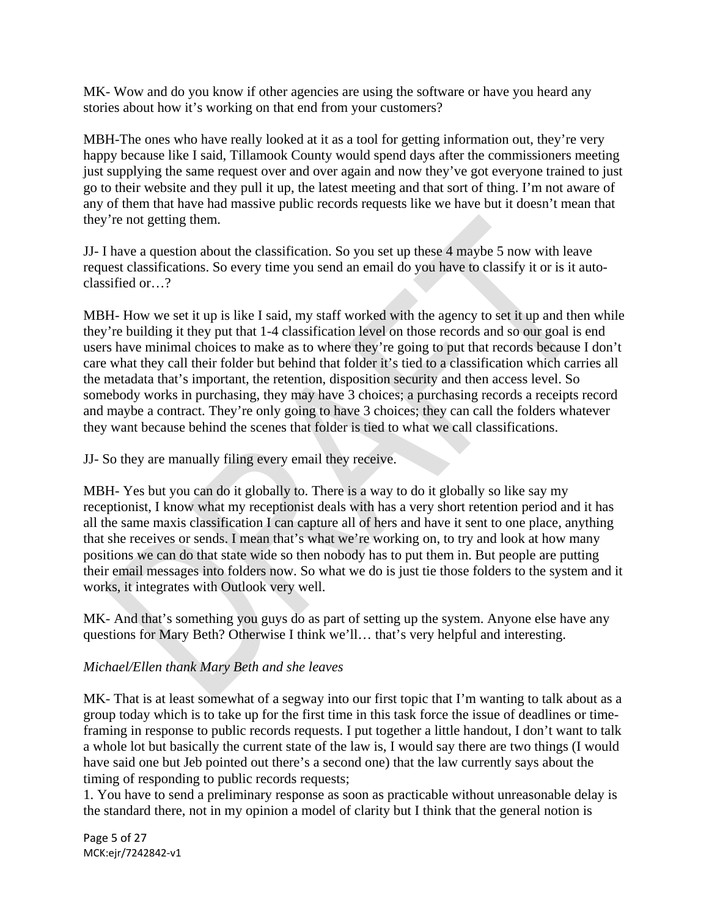MK- Wow and do you know if other agencies are using the software or have you heard any stories about how it's working on that end from your customers?

MBH-The ones who have really looked at it as a tool for getting information out, they're very happy because like I said, Tillamook County would spend days after the commissioners meeting just supplying the same request over and over again and now they've got everyone trained to just go to their website and they pull it up, the latest meeting and that sort of thing. I'm not aware of any of them that have had massive public records requests like we have but it doesn't mean that they're not getting them.

JJ- I have a question about the classification. So you set up these 4 maybe 5 now with leave request classifications. So every time you send an email do you have to classify it or is it autoclassified or…?

MBH- How we set it up is like I said, my staff worked with the agency to set it up and then while they're building it they put that 1-4 classification level on those records and so our goal is end users have minimal choices to make as to where they're going to put that records because I don't care what they call their folder but behind that folder it's tied to a classification which carries all the metadata that's important, the retention, disposition security and then access level. So somebody works in purchasing, they may have 3 choices; a purchasing records a receipts record and maybe a contract. They're only going to have 3 choices; they can call the folders whatever they want because behind the scenes that folder is tied to what we call classifications.

JJ- So they are manually filing every email they receive.

MBH- Yes but you can do it globally to. There is a way to do it globally so like say my receptionist, I know what my receptionist deals with has a very short retention period and it has all the same maxis classification I can capture all of hers and have it sent to one place, anything that she receives or sends. I mean that's what we're working on, to try and look at how many positions we can do that state wide so then nobody has to put them in. But people are putting their email messages into folders now. So what we do is just tie those folders to the system and it works, it integrates with Outlook very well.

MK- And that's something you guys do as part of setting up the system. Anyone else have any questions for Mary Beth? Otherwise I think we'll… that's very helpful and interesting.

# *Michael/Ellen thank Mary Beth and she leaves*

MK- That is at least somewhat of a segway into our first topic that I'm wanting to talk about as a group today which is to take up for the first time in this task force the issue of deadlines or timeframing in response to public records requests. I put together a little handout, I don't want to talk a whole lot but basically the current state of the law is, I would say there are two things (I would have said one but Jeb pointed out there's a second one) that the law currently says about the timing of responding to public records requests;

1. You have to send a preliminary response as soon as practicable without unreasonable delay is the standard there, not in my opinion a model of clarity but I think that the general notion is

Page 5 of 27 MCK:ejr/7242842‐v1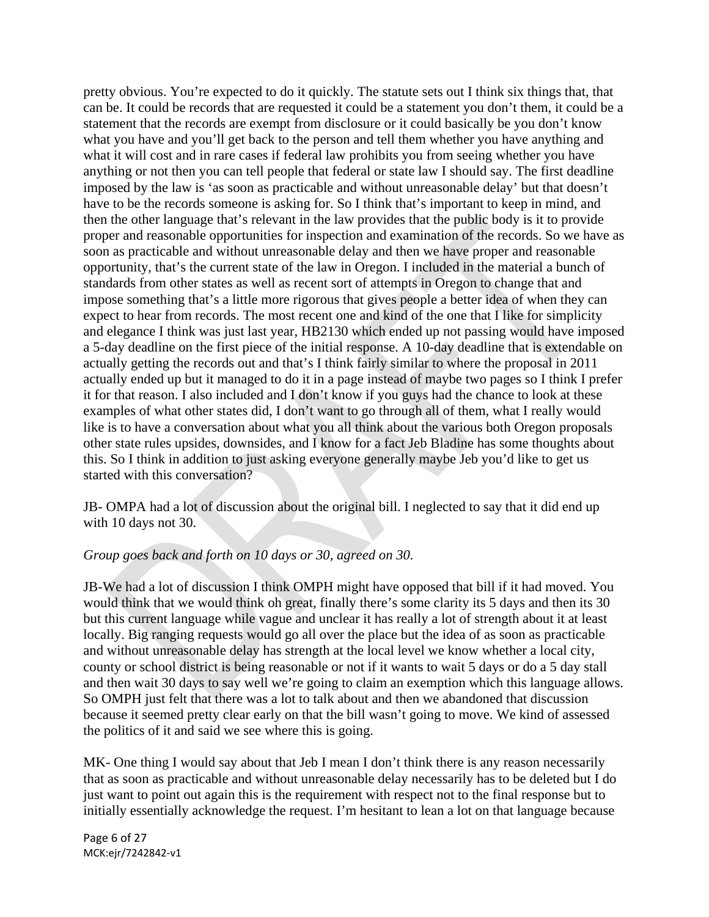pretty obvious. You're expected to do it quickly. The statute sets out I think six things that, that can be. It could be records that are requested it could be a statement you don't them, it could be a statement that the records are exempt from disclosure or it could basically be you don't know what you have and you'll get back to the person and tell them whether you have anything and what it will cost and in rare cases if federal law prohibits you from seeing whether you have anything or not then you can tell people that federal or state law I should say. The first deadline imposed by the law is 'as soon as practicable and without unreasonable delay' but that doesn't have to be the records someone is asking for. So I think that's important to keep in mind, and then the other language that's relevant in the law provides that the public body is it to provide proper and reasonable opportunities for inspection and examination of the records. So we have as soon as practicable and without unreasonable delay and then we have proper and reasonable opportunity, that's the current state of the law in Oregon. I included in the material a bunch of standards from other states as well as recent sort of attempts in Oregon to change that and impose something that's a little more rigorous that gives people a better idea of when they can expect to hear from records. The most recent one and kind of the one that I like for simplicity and elegance I think was just last year, HB2130 which ended up not passing would have imposed a 5-day deadline on the first piece of the initial response. A 10-day deadline that is extendable on actually getting the records out and that's I think fairly similar to where the proposal in 2011 actually ended up but it managed to do it in a page instead of maybe two pages so I think I prefer it for that reason. I also included and I don't know if you guys had the chance to look at these examples of what other states did, I don't want to go through all of them, what I really would like is to have a conversation about what you all think about the various both Oregon proposals other state rules upsides, downsides, and I know for a fact Jeb Bladine has some thoughts about this. So I think in addition to just asking everyone generally maybe Jeb you'd like to get us started with this conversation?

JB- OMPA had a lot of discussion about the original bill. I neglected to say that it did end up with 10 days not 30.

# *Group goes back and forth on 10 days or 30, agreed on 30.*

JB-We had a lot of discussion I think OMPH might have opposed that bill if it had moved. You would think that we would think oh great, finally there's some clarity its 5 days and then its 30 but this current language while vague and unclear it has really a lot of strength about it at least locally. Big ranging requests would go all over the place but the idea of as soon as practicable and without unreasonable delay has strength at the local level we know whether a local city, county or school district is being reasonable or not if it wants to wait 5 days or do a 5 day stall and then wait 30 days to say well we're going to claim an exemption which this language allows. So OMPH just felt that there was a lot to talk about and then we abandoned that discussion because it seemed pretty clear early on that the bill wasn't going to move. We kind of assessed the politics of it and said we see where this is going.

MK- One thing I would say about that Jeb I mean I don't think there is any reason necessarily that as soon as practicable and without unreasonable delay necessarily has to be deleted but I do just want to point out again this is the requirement with respect not to the final response but to initially essentially acknowledge the request. I'm hesitant to lean a lot on that language because

Page 6 of 27 MCK:ejr/7242842‐v1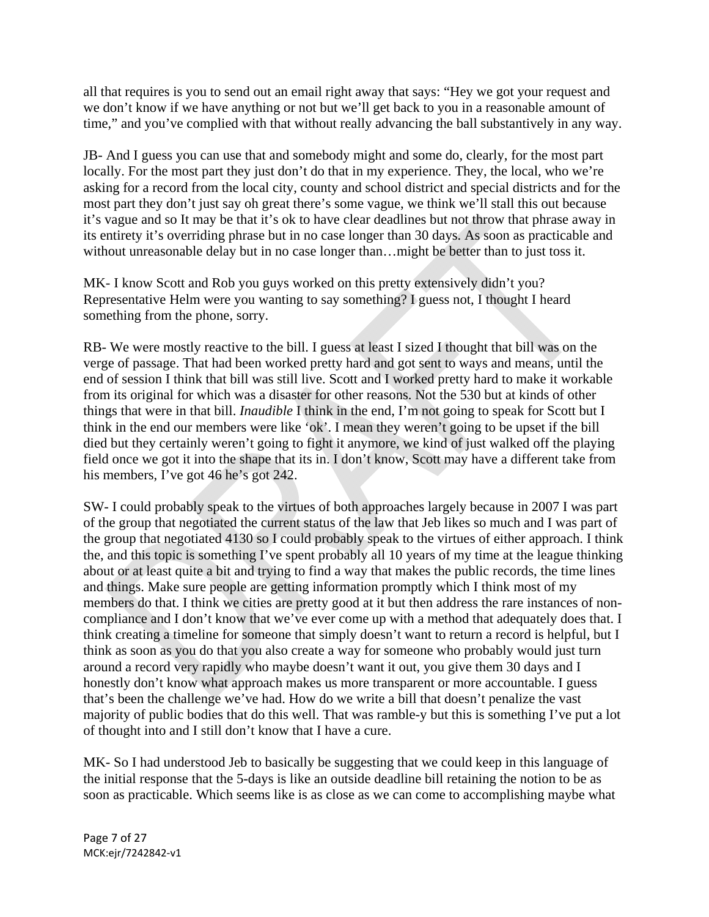all that requires is you to send out an email right away that says: "Hey we got your request and we don't know if we have anything or not but we'll get back to you in a reasonable amount of time," and you've complied with that without really advancing the ball substantively in any way.

JB- And I guess you can use that and somebody might and some do, clearly, for the most part locally. For the most part they just don't do that in my experience. They, the local, who we're asking for a record from the local city, county and school district and special districts and for the most part they don't just say oh great there's some vague, we think we'll stall this out because it's vague and so It may be that it's ok to have clear deadlines but not throw that phrase away in its entirety it's overriding phrase but in no case longer than 30 days. As soon as practicable and without unreasonable delay but in no case longer than... might be better than to just toss it.

MK- I know Scott and Rob you guys worked on this pretty extensively didn't you? Representative Helm were you wanting to say something? I guess not, I thought I heard something from the phone, sorry.

RB- We were mostly reactive to the bill. I guess at least I sized I thought that bill was on the verge of passage. That had been worked pretty hard and got sent to ways and means, until the end of session I think that bill was still live. Scott and I worked pretty hard to make it workable from its original for which was a disaster for other reasons. Not the 530 but at kinds of other things that were in that bill. *Inaudible* I think in the end, I'm not going to speak for Scott but I think in the end our members were like 'ok'. I mean they weren't going to be upset if the bill died but they certainly weren't going to fight it anymore, we kind of just walked off the playing field once we got it into the shape that its in. I don't know, Scott may have a different take from his members, I've got 46 he's got 242.

SW- I could probably speak to the virtues of both approaches largely because in 2007 I was part of the group that negotiated the current status of the law that Jeb likes so much and I was part of the group that negotiated 4130 so I could probably speak to the virtues of either approach. I think the, and this topic is something I've spent probably all 10 years of my time at the league thinking about or at least quite a bit and trying to find a way that makes the public records, the time lines and things. Make sure people are getting information promptly which I think most of my members do that. I think we cities are pretty good at it but then address the rare instances of noncompliance and I don't know that we've ever come up with a method that adequately does that. I think creating a timeline for someone that simply doesn't want to return a record is helpful, but I think as soon as you do that you also create a way for someone who probably would just turn around a record very rapidly who maybe doesn't want it out, you give them 30 days and I honestly don't know what approach makes us more transparent or more accountable. I guess that's been the challenge we've had. How do we write a bill that doesn't penalize the vast majority of public bodies that do this well. That was ramble-y but this is something I've put a lot of thought into and I still don't know that I have a cure.

MK- So I had understood Jeb to basically be suggesting that we could keep in this language of the initial response that the 5-days is like an outside deadline bill retaining the notion to be as soon as practicable. Which seems like is as close as we can come to accomplishing maybe what

Page 7 of 27 MCK:ejr/7242842‐v1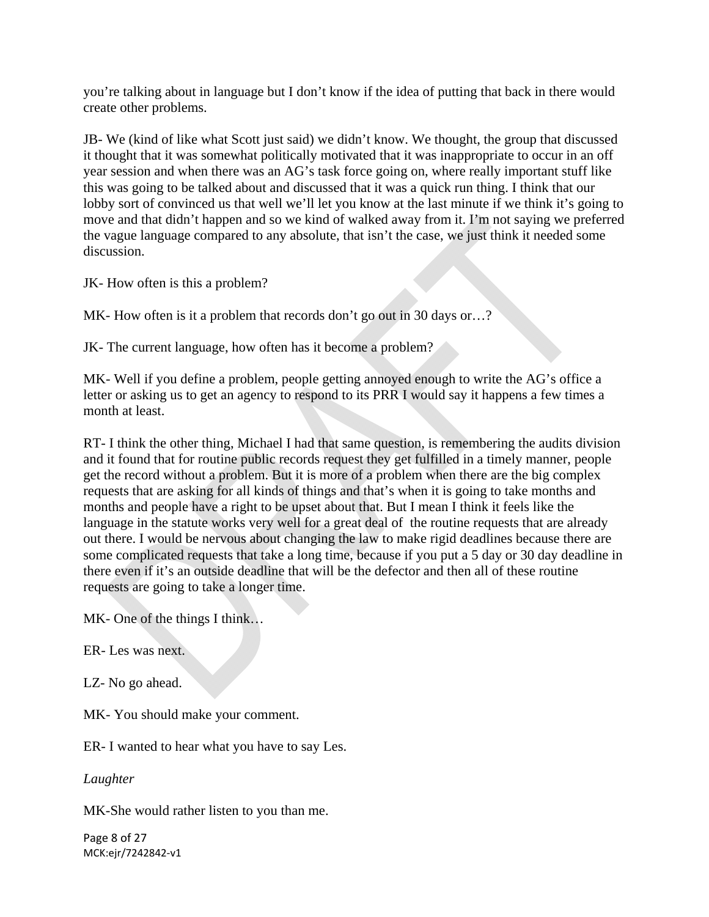you're talking about in language but I don't know if the idea of putting that back in there would create other problems.

JB- We (kind of like what Scott just said) we didn't know. We thought, the group that discussed it thought that it was somewhat politically motivated that it was inappropriate to occur in an off year session and when there was an AG's task force going on, where really important stuff like this was going to be talked about and discussed that it was a quick run thing. I think that our lobby sort of convinced us that well we'll let you know at the last minute if we think it's going to move and that didn't happen and so we kind of walked away from it. I'm not saying we preferred the vague language compared to any absolute, that isn't the case, we just think it needed some discussion.

JK- How often is this a problem?

MK- How often is it a problem that records don't go out in 30 days or...?

JK- The current language, how often has it become a problem?

MK- Well if you define a problem, people getting annoyed enough to write the AG's office a letter or asking us to get an agency to respond to its PRR I would say it happens a few times a month at least.

RT- I think the other thing, Michael I had that same question, is remembering the audits division and it found that for routine public records request they get fulfilled in a timely manner, people get the record without a problem. But it is more of a problem when there are the big complex requests that are asking for all kinds of things and that's when it is going to take months and months and people have a right to be upset about that. But I mean I think it feels like the language in the statute works very well for a great deal of the routine requests that are already out there. I would be nervous about changing the law to make rigid deadlines because there are some complicated requests that take a long time, because if you put a 5 day or 30 day deadline in there even if it's an outside deadline that will be the defector and then all of these routine requests are going to take a longer time.

MK- One of the things I think…

ER- Les was next.

LZ- No go ahead.

MK- You should make your comment.

ER- I wanted to hear what you have to say Les.

*Laughter* 

MK-She would rather listen to you than me.

Page 8 of 27 MCK:ejr/7242842‐v1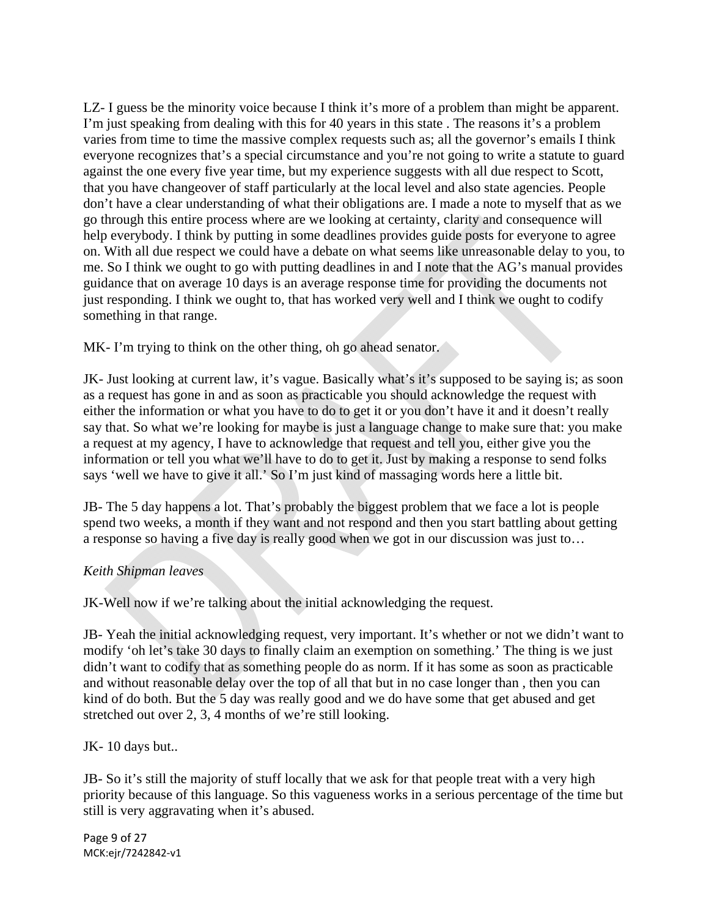LZ- I guess be the minority voice because I think it's more of a problem than might be apparent. I'm just speaking from dealing with this for 40 years in this state . The reasons it's a problem varies from time to time the massive complex requests such as; all the governor's emails I think everyone recognizes that's a special circumstance and you're not going to write a statute to guard against the one every five year time, but my experience suggests with all due respect to Scott, that you have changeover of staff particularly at the local level and also state agencies. People don't have a clear understanding of what their obligations are. I made a note to myself that as we go through this entire process where are we looking at certainty, clarity and consequence will help everybody. I think by putting in some deadlines provides guide posts for everyone to agree on. With all due respect we could have a debate on what seems like unreasonable delay to you, to me. So I think we ought to go with putting deadlines in and I note that the AG's manual provides guidance that on average 10 days is an average response time for providing the documents not just responding. I think we ought to, that has worked very well and I think we ought to codify something in that range.

MK- I'm trying to think on the other thing, oh go ahead senator.

JK- Just looking at current law, it's vague. Basically what's it's supposed to be saying is; as soon as a request has gone in and as soon as practicable you should acknowledge the request with either the information or what you have to do to get it or you don't have it and it doesn't really say that. So what we're looking for maybe is just a language change to make sure that: you make a request at my agency, I have to acknowledge that request and tell you, either give you the information or tell you what we'll have to do to get it. Just by making a response to send folks says 'well we have to give it all.' So I'm just kind of massaging words here a little bit.

JB- The 5 day happens a lot. That's probably the biggest problem that we face a lot is people spend two weeks, a month if they want and not respond and then you start battling about getting a response so having a five day is really good when we got in our discussion was just to…

# *Keith Shipman leaves*

JK-Well now if we're talking about the initial acknowledging the request.

JB- Yeah the initial acknowledging request, very important. It's whether or not we didn't want to modify 'oh let's take 30 days to finally claim an exemption on something.' The thing is we just didn't want to codify that as something people do as norm. If it has some as soon as practicable and without reasonable delay over the top of all that but in no case longer than , then you can kind of do both. But the 5 day was really good and we do have some that get abused and get stretched out over 2, 3, 4 months of we're still looking.

JK-10 days but..

JB- So it's still the majority of stuff locally that we ask for that people treat with a very high priority because of this language. So this vagueness works in a serious percentage of the time but still is very aggravating when it's abused.

Page 9 of 27 MCK:ejr/7242842‐v1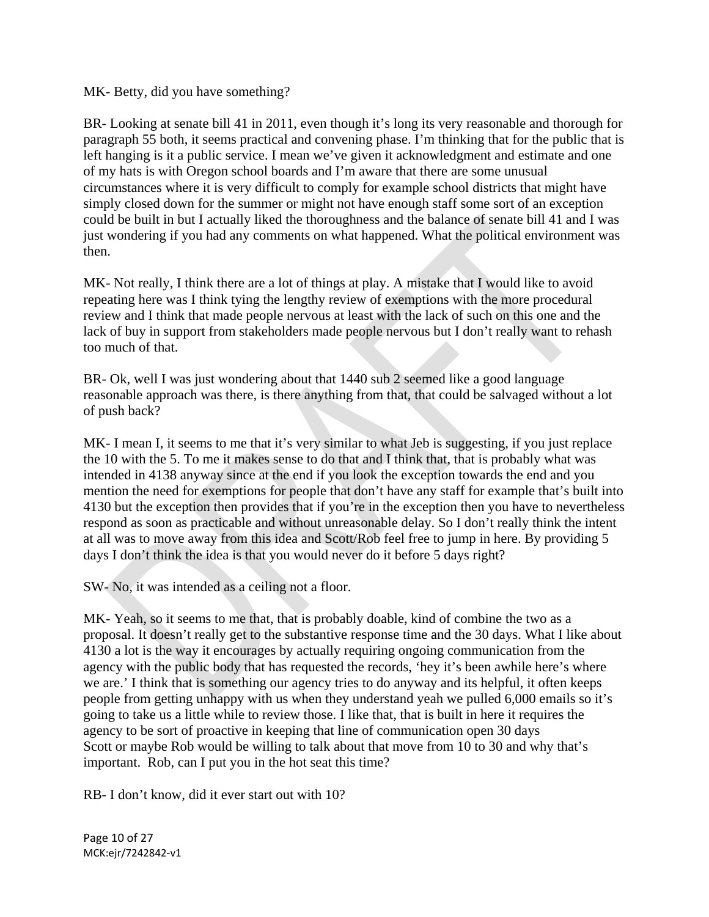#### MK- Betty, did you have something?

BR- Looking at senate bill 41 in 2011, even though it's long its very reasonable and thorough for paragraph 55 both, it seems practical and convening phase. I'm thinking that for the public that is left hanging is it a public service. I mean we've given it acknowledgment and estimate and one of my hats is with Oregon school boards and I'm aware that there are some unusual circumstances where it is very difficult to comply for example school districts that might have simply closed down for the summer or might not have enough staff some sort of an exception could be built in but I actually liked the thoroughness and the balance of senate bill 41 and I was just wondering if you had any comments on what happened. What the political environment was then.

MK- Not really, I think there are a lot of things at play. A mistake that I would like to avoid repeating here was I think tying the lengthy review of exemptions with the more procedural review and I think that made people nervous at least with the lack of such on this one and the lack of buy in support from stakeholders made people nervous but I don't really want to rehash too much of that.

BR- Ok, well I was just wondering about that 1440 sub 2 seemed like a good language reasonable approach was there, is there anything from that, that could be salvaged without a lot of push back?

MK- I mean I, it seems to me that it's very similar to what Jeb is suggesting, if you just replace the 10 with the 5. To me it makes sense to do that and I think that, that is probably what was intended in 4138 anyway since at the end if you look the exception towards the end and you mention the need for exemptions for people that don't have any staff for example that's built into 4130 but the exception then provides that if you're in the exception then you have to nevertheless respond as soon as practicable and without unreasonable delay. So I don't really think the intent at all was to move away from this idea and Scott/Rob feel free to jump in here. By providing 5 days I don't think the idea is that you would never do it before 5 days right?

SW- No, it was intended as a ceiling not a floor.

MK- Yeah, so it seems to me that, that is probably doable, kind of combine the two as a proposal. It doesn't really get to the substantive response time and the 30 days. What I like about 4130 a lot is the way it encourages by actually requiring ongoing communication from the agency with the public body that has requested the records, 'hey it's been awhile here's where we are.' I think that is something our agency tries to do anyway and its helpful, it often keeps people from getting unhappy with us when they understand yeah we pulled 6,000 emails so it's going to take us a little while to review those. I like that, that is built in here it requires the agency to be sort of proactive in keeping that line of communication open 30 days Scott or maybe Rob would be willing to talk about that move from 10 to 30 and why that's important. Rob, can I put you in the hot seat this time?

RB- I don't know, did it ever start out with 10?

Page 10 of 27 MCK:ejr/7242842‐v1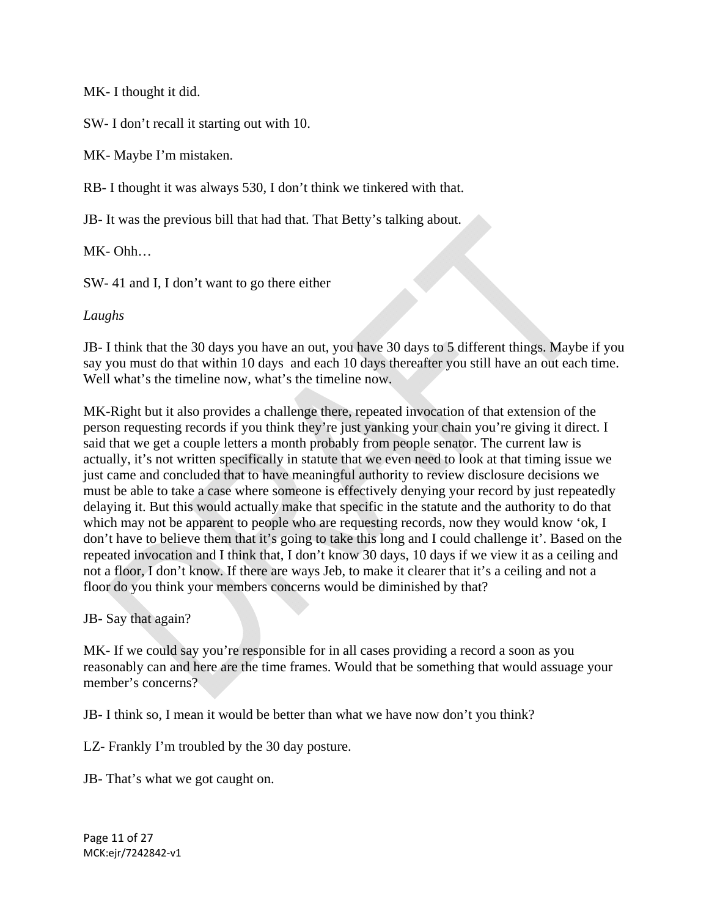MK- I thought it did.

SW- I don't recall it starting out with 10.

MK- Maybe I'm mistaken.

RB- I thought it was always 530, I don't think we tinkered with that.

JB- It was the previous bill that had that. That Betty's talking about.

MK- Ohh…

SW- 41 and I, I don't want to go there either

#### *Laughs*

JB- I think that the 30 days you have an out, you have 30 days to 5 different things. Maybe if you say you must do that within 10 days and each 10 days thereafter you still have an out each time. Well what's the timeline now, what's the timeline now.

MK-Right but it also provides a challenge there, repeated invocation of that extension of the person requesting records if you think they're just yanking your chain you're giving it direct. I said that we get a couple letters a month probably from people senator. The current law is actually, it's not written specifically in statute that we even need to look at that timing issue we just came and concluded that to have meaningful authority to review disclosure decisions we must be able to take a case where someone is effectively denying your record by just repeatedly delaying it. But this would actually make that specific in the statute and the authority to do that which may not be apparent to people who are requesting records, now they would know 'ok, I don't have to believe them that it's going to take this long and I could challenge it'. Based on the repeated invocation and I think that, I don't know 30 days, 10 days if we view it as a ceiling and not a floor, I don't know. If there are ways Jeb, to make it clearer that it's a ceiling and not a floor do you think your members concerns would be diminished by that?

#### JB- Say that again?

MK- If we could say you're responsible for in all cases providing a record a soon as you reasonably can and here are the time frames. Would that be something that would assuage your member's concerns?

JB- I think so, I mean it would be better than what we have now don't you think?

LZ- Frankly I'm troubled by the 30 day posture.

JB- That's what we got caught on.

Page 11 of 27 MCK:ejr/7242842‐v1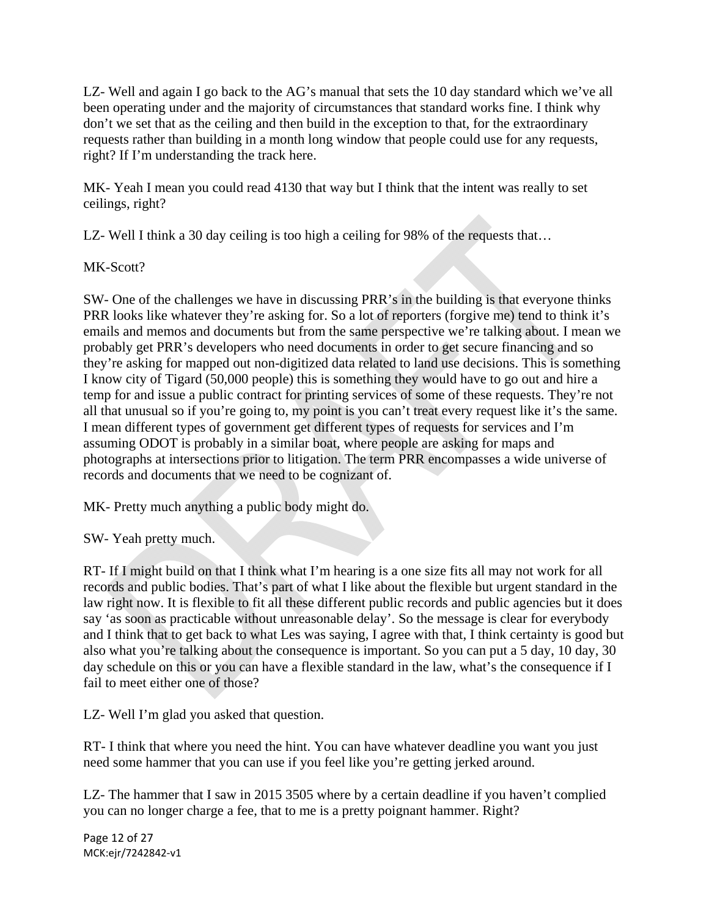LZ- Well and again I go back to the AG's manual that sets the 10 day standard which we've all been operating under and the majority of circumstances that standard works fine. I think why don't we set that as the ceiling and then build in the exception to that, for the extraordinary requests rather than building in a month long window that people could use for any requests, right? If I'm understanding the track here.

MK- Yeah I mean you could read 4130 that way but I think that the intent was really to set ceilings, right?

LZ- Well I think a 30 day ceiling is too high a ceiling for 98% of the requests that...

MK-Scott?

SW- One of the challenges we have in discussing PRR's in the building is that everyone thinks PRR looks like whatever they're asking for. So a lot of reporters (forgive me) tend to think it's emails and memos and documents but from the same perspective we're talking about. I mean we probably get PRR's developers who need documents in order to get secure financing and so they're asking for mapped out non-digitized data related to land use decisions. This is something I know city of Tigard (50,000 people) this is something they would have to go out and hire a temp for and issue a public contract for printing services of some of these requests. They're not all that unusual so if you're going to, my point is you can't treat every request like it's the same. I mean different types of government get different types of requests for services and I'm assuming ODOT is probably in a similar boat, where people are asking for maps and photographs at intersections prior to litigation. The term PRR encompasses a wide universe of records and documents that we need to be cognizant of.

MK- Pretty much anything a public body might do.

SW- Yeah pretty much.

RT- If I might build on that I think what I'm hearing is a one size fits all may not work for all records and public bodies. That's part of what I like about the flexible but urgent standard in the law right now. It is flexible to fit all these different public records and public agencies but it does say 'as soon as practicable without unreasonable delay'. So the message is clear for everybody and I think that to get back to what Les was saying, I agree with that, I think certainty is good but also what you're talking about the consequence is important. So you can put a 5 day, 10 day, 30 day schedule on this or you can have a flexible standard in the law, what's the consequence if I fail to meet either one of those?

LZ- Well I'm glad you asked that question.

RT- I think that where you need the hint. You can have whatever deadline you want you just need some hammer that you can use if you feel like you're getting jerked around.

LZ- The hammer that I saw in 2015 3505 where by a certain deadline if you haven't complied you can no longer charge a fee, that to me is a pretty poignant hammer. Right?

Page 12 of 27 MCK:ejr/7242842‐v1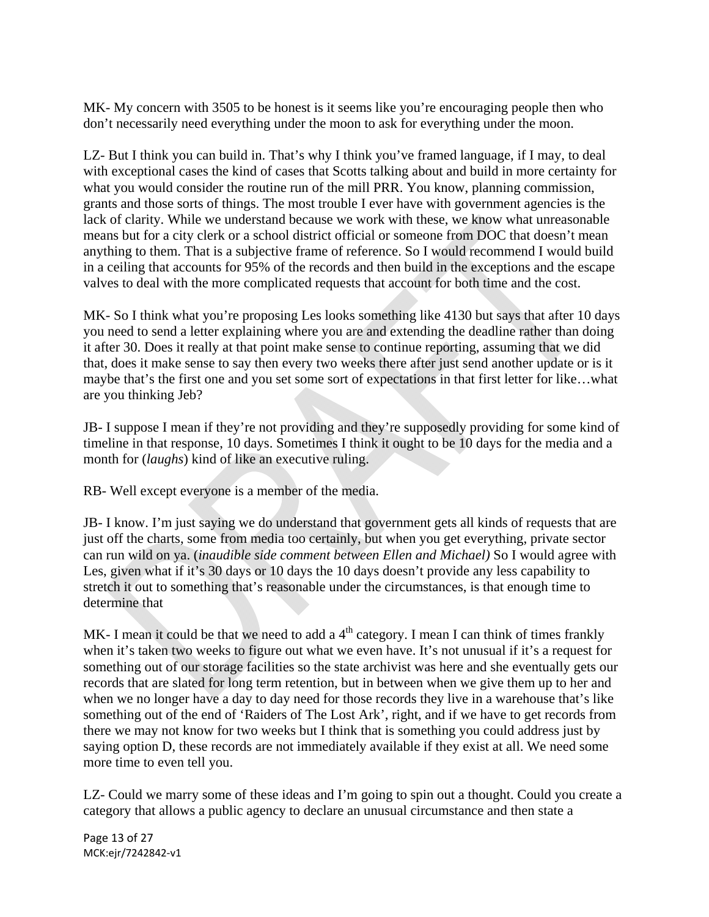MK- My concern with 3505 to be honest is it seems like you're encouraging people then who don't necessarily need everything under the moon to ask for everything under the moon.

LZ- But I think you can build in. That's why I think you've framed language, if I may, to deal with exceptional cases the kind of cases that Scotts talking about and build in more certainty for what you would consider the routine run of the mill PRR. You know, planning commission, grants and those sorts of things. The most trouble I ever have with government agencies is the lack of clarity. While we understand because we work with these, we know what unreasonable means but for a city clerk or a school district official or someone from DOC that doesn't mean anything to them. That is a subjective frame of reference. So I would recommend I would build in a ceiling that accounts for 95% of the records and then build in the exceptions and the escape valves to deal with the more complicated requests that account for both time and the cost.

MK- So I think what you're proposing Les looks something like 4130 but says that after 10 days you need to send a letter explaining where you are and extending the deadline rather than doing it after 30. Does it really at that point make sense to continue reporting, assuming that we did that, does it make sense to say then every two weeks there after just send another update or is it maybe that's the first one and you set some sort of expectations in that first letter for like…what are you thinking Jeb?

JB- I suppose I mean if they're not providing and they're supposedly providing for some kind of timeline in that response, 10 days. Sometimes I think it ought to be 10 days for the media and a month for *(laughs)* kind of like an executive ruling.

RB- Well except everyone is a member of the media.

JB- I know. I'm just saying we do understand that government gets all kinds of requests that are just off the charts, some from media too certainly, but when you get everything, private sector can run wild on ya. (*inaudible side comment between Ellen and Michael)* So I would agree with Les, given what if it's 30 days or 10 days the 10 days doesn't provide any less capability to stretch it out to something that's reasonable under the circumstances, is that enough time to determine that

MK- I mean it could be that we need to add a  $4<sup>th</sup>$  category. I mean I can think of times frankly when it's taken two weeks to figure out what we even have. It's not unusual if it's a request for something out of our storage facilities so the state archivist was here and she eventually gets our records that are slated for long term retention, but in between when we give them up to her and when we no longer have a day to day need for those records they live in a warehouse that's like something out of the end of 'Raiders of The Lost Ark', right, and if we have to get records from there we may not know for two weeks but I think that is something you could address just by saying option D, these records are not immediately available if they exist at all. We need some more time to even tell you.

LZ- Could we marry some of these ideas and I'm going to spin out a thought. Could you create a category that allows a public agency to declare an unusual circumstance and then state a

Page 13 of 27 MCK:ejr/7242842‐v1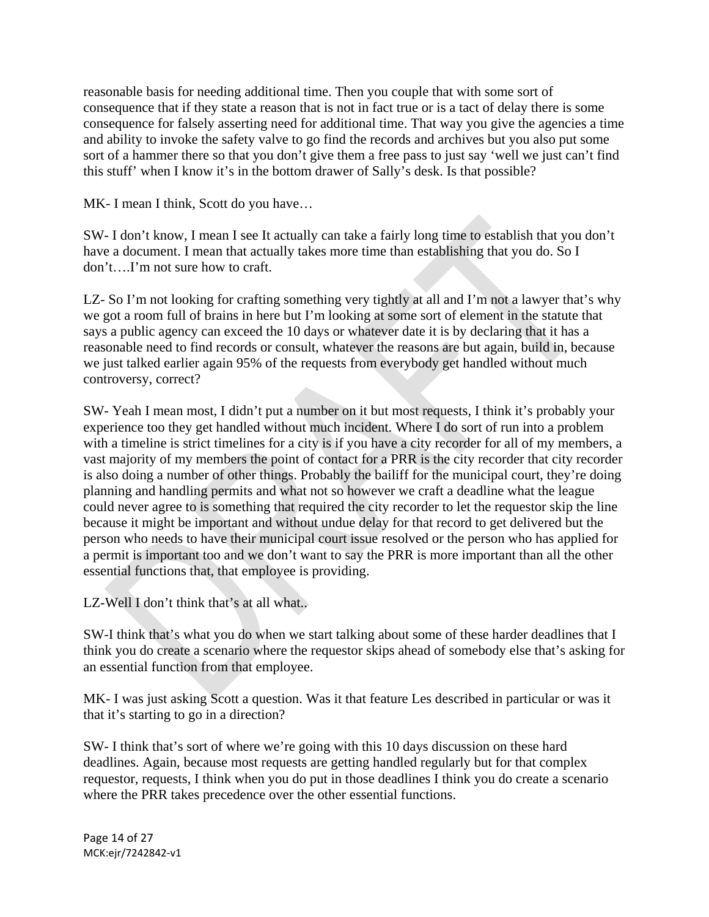reasonable basis for needing additional time. Then you couple that with some sort of consequence that if they state a reason that is not in fact true or is a tact of delay there is some consequence for falsely asserting need for additional time. That way you give the agencies a time and ability to invoke the safety valve to go find the records and archives but you also put some sort of a hammer there so that you don't give them a free pass to just say 'well we just can't find this stuff' when I know it's in the bottom drawer of Sally's desk. Is that possible?

MK- I mean I think, Scott do you have…

SW- I don't know, I mean I see It actually can take a fairly long time to establish that you don't have a document. I mean that actually takes more time than establishing that you do. So I don't….I'm not sure how to craft.

LZ- So I'm not looking for crafting something very tightly at all and I'm not a lawyer that's why we got a room full of brains in here but I'm looking at some sort of element in the statute that says a public agency can exceed the 10 days or whatever date it is by declaring that it has a reasonable need to find records or consult, whatever the reasons are but again, build in, because we just talked earlier again 95% of the requests from everybody get handled without much controversy, correct?

SW- Yeah I mean most, I didn't put a number on it but most requests, I think it's probably your experience too they get handled without much incident. Where I do sort of run into a problem with a timeline is strict timelines for a city is if you have a city recorder for all of my members, a vast majority of my members the point of contact for a PRR is the city recorder that city recorder is also doing a number of other things. Probably the bailiff for the municipal court, they're doing planning and handling permits and what not so however we craft a deadline what the league could never agree to is something that required the city recorder to let the requestor skip the line because it might be important and without undue delay for that record to get delivered but the person who needs to have their municipal court issue resolved or the person who has applied for a permit is important too and we don't want to say the PRR is more important than all the other essential functions that, that employee is providing.

LZ-Well I don't think that's at all what...

SW-I think that's what you do when we start talking about some of these harder deadlines that I think you do create a scenario where the requestor skips ahead of somebody else that's asking for an essential function from that employee.

MK- I was just asking Scott a question. Was it that feature Les described in particular or was it that it's starting to go in a direction?

SW- I think that's sort of where we're going with this 10 days discussion on these hard deadlines. Again, because most requests are getting handled regularly but for that complex requestor, requests, I think when you do put in those deadlines I think you do create a scenario where the PRR takes precedence over the other essential functions.

Page 14 of 27 MCK:ejr/7242842‐v1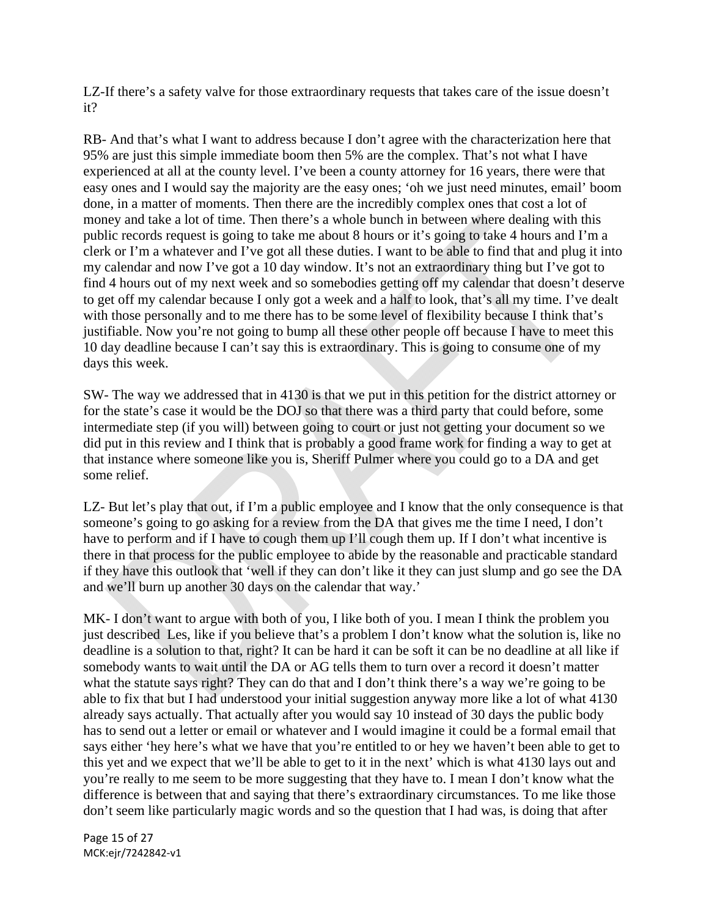LZ-If there's a safety valve for those extraordinary requests that takes care of the issue doesn't it?

RB- And that's what I want to address because I don't agree with the characterization here that 95% are just this simple immediate boom then 5% are the complex. That's not what I have experienced at all at the county level. I've been a county attorney for 16 years, there were that easy ones and I would say the majority are the easy ones; 'oh we just need minutes, email' boom done, in a matter of moments. Then there are the incredibly complex ones that cost a lot of money and take a lot of time. Then there's a whole bunch in between where dealing with this public records request is going to take me about 8 hours or it's going to take 4 hours and I'm a clerk or I'm a whatever and I've got all these duties. I want to be able to find that and plug it into my calendar and now I've got a 10 day window. It's not an extraordinary thing but I've got to find 4 hours out of my next week and so somebodies getting off my calendar that doesn't deserve to get off my calendar because I only got a week and a half to look, that's all my time. I've dealt with those personally and to me there has to be some level of flexibility because I think that's justifiable. Now you're not going to bump all these other people off because I have to meet this 10 day deadline because I can't say this is extraordinary. This is going to consume one of my days this week.

SW- The way we addressed that in 4130 is that we put in this petition for the district attorney or for the state's case it would be the DOJ so that there was a third party that could before, some intermediate step (if you will) between going to court or just not getting your document so we did put in this review and I think that is probably a good frame work for finding a way to get at that instance where someone like you is, Sheriff Pulmer where you could go to a DA and get some relief.

LZ- But let's play that out, if I'm a public employee and I know that the only consequence is that someone's going to go asking for a review from the DA that gives me the time I need, I don't have to perform and if I have to cough them up I'll cough them up. If I don't what incentive is there in that process for the public employee to abide by the reasonable and practicable standard if they have this outlook that 'well if they can don't like it they can just slump and go see the DA and we'll burn up another 30 days on the calendar that way.'

MK- I don't want to argue with both of you, I like both of you. I mean I think the problem you just described Les, like if you believe that's a problem I don't know what the solution is, like no deadline is a solution to that, right? It can be hard it can be soft it can be no deadline at all like if somebody wants to wait until the DA or AG tells them to turn over a record it doesn't matter what the statute says right? They can do that and I don't think there's a way we're going to be able to fix that but I had understood your initial suggestion anyway more like a lot of what 4130 already says actually. That actually after you would say 10 instead of 30 days the public body has to send out a letter or email or whatever and I would imagine it could be a formal email that says either 'hey here's what we have that you're entitled to or hey we haven't been able to get to this yet and we expect that we'll be able to get to it in the next' which is what 4130 lays out and you're really to me seem to be more suggesting that they have to. I mean I don't know what the difference is between that and saying that there's extraordinary circumstances. To me like those don't seem like particularly magic words and so the question that I had was, is doing that after

Page 15 of 27 MCK:ejr/7242842‐v1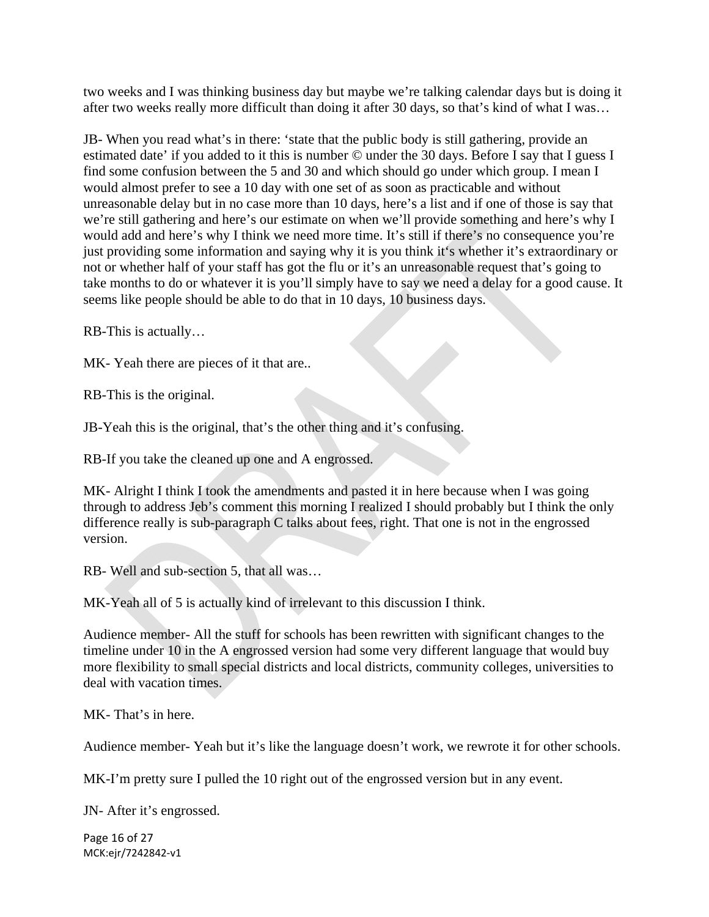two weeks and I was thinking business day but maybe we're talking calendar days but is doing it after two weeks really more difficult than doing it after 30 days, so that's kind of what I was…

JB- When you read what's in there: 'state that the public body is still gathering, provide an estimated date' if you added to it this is number © under the 30 days. Before I say that I guess I find some confusion between the 5 and 30 and which should go under which group. I mean I would almost prefer to see a 10 day with one set of as soon as practicable and without unreasonable delay but in no case more than 10 days, here's a list and if one of those is say that we're still gathering and here's our estimate on when we'll provide something and here's why I would add and here's why I think we need more time. It's still if there's no consequence you're just providing some information and saying why it is you think it's whether it's extraordinary or not or whether half of your staff has got the flu or it's an unreasonable request that's going to take months to do or whatever it is you'll simply have to say we need a delay for a good cause. It seems like people should be able to do that in 10 days, 10 business days.

RB-This is actually…

MK- Yeah there are pieces of it that are..

RB-This is the original.

JB-Yeah this is the original, that's the other thing and it's confusing.

RB-If you take the cleaned up one and A engrossed.

MK- Alright I think I took the amendments and pasted it in here because when I was going through to address Jeb's comment this morning I realized I should probably but I think the only difference really is sub-paragraph C talks about fees, right. That one is not in the engrossed version.

RB- Well and sub-section 5, that all was…

MK-Yeah all of 5 is actually kind of irrelevant to this discussion I think.

Audience member- All the stuff for schools has been rewritten with significant changes to the timeline under 10 in the A engrossed version had some very different language that would buy more flexibility to small special districts and local districts, community colleges, universities to deal with vacation times.

MK- That's in here.

Audience member- Yeah but it's like the language doesn't work, we rewrote it for other schools.

MK-I'm pretty sure I pulled the 10 right out of the engrossed version but in any event.

JN- After it's engrossed.

Page 16 of 27 MCK:ejr/7242842‐v1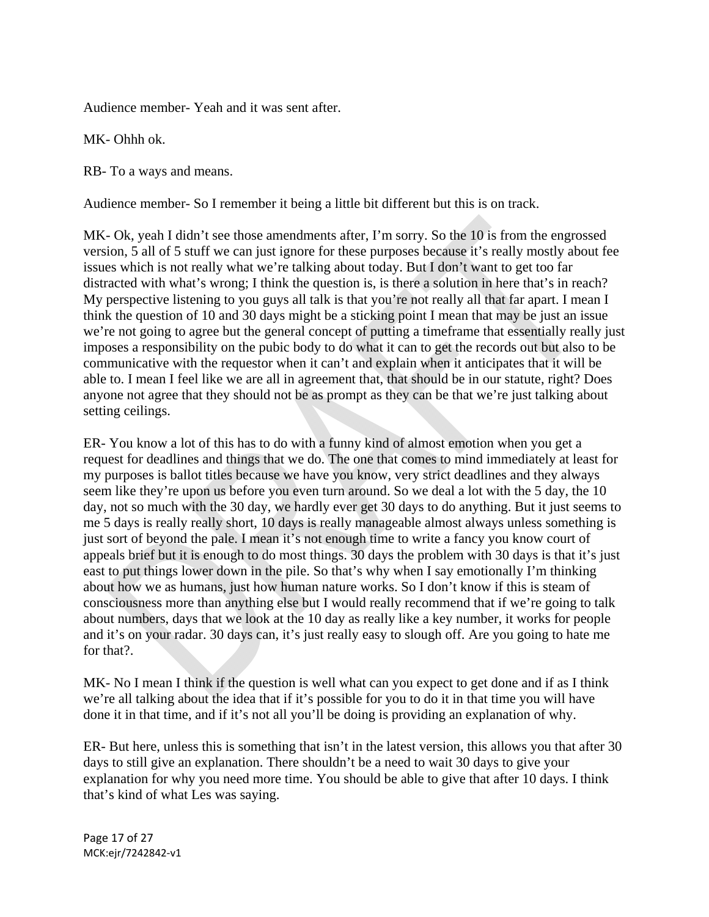Audience member- Yeah and it was sent after.

MK- Ohhh ok.

RB- To a ways and means.

Audience member- So I remember it being a little bit different but this is on track.

MK- Ok, yeah I didn't see those amendments after, I'm sorry. So the 10 is from the engrossed version, 5 all of 5 stuff we can just ignore for these purposes because it's really mostly about fee issues which is not really what we're talking about today. But I don't want to get too far distracted with what's wrong; I think the question is, is there a solution in here that's in reach? My perspective listening to you guys all talk is that you're not really all that far apart. I mean I think the question of 10 and 30 days might be a sticking point I mean that may be just an issue we're not going to agree but the general concept of putting a timeframe that essentially really just imposes a responsibility on the pubic body to do what it can to get the records out but also to be communicative with the requestor when it can't and explain when it anticipates that it will be able to. I mean I feel like we are all in agreement that, that should be in our statute, right? Does anyone not agree that they should not be as prompt as they can be that we're just talking about setting ceilings.

ER- You know a lot of this has to do with a funny kind of almost emotion when you get a request for deadlines and things that we do. The one that comes to mind immediately at least for my purposes is ballot titles because we have you know, very strict deadlines and they always seem like they're upon us before you even turn around. So we deal a lot with the 5 day, the 10 day, not so much with the 30 day, we hardly ever get 30 days to do anything. But it just seems to me 5 days is really really short, 10 days is really manageable almost always unless something is just sort of beyond the pale. I mean it's not enough time to write a fancy you know court of appeals brief but it is enough to do most things. 30 days the problem with 30 days is that it's just east to put things lower down in the pile. So that's why when I say emotionally I'm thinking about how we as humans, just how human nature works. So I don't know if this is steam of consciousness more than anything else but I would really recommend that if we're going to talk about numbers, days that we look at the 10 day as really like a key number, it works for people and it's on your radar. 30 days can, it's just really easy to slough off. Are you going to hate me for that?.

MK- No I mean I think if the question is well what can you expect to get done and if as I think we're all talking about the idea that if it's possible for you to do it in that time you will have done it in that time, and if it's not all you'll be doing is providing an explanation of why.

ER- But here, unless this is something that isn't in the latest version, this allows you that after 30 days to still give an explanation. There shouldn't be a need to wait 30 days to give your explanation for why you need more time. You should be able to give that after 10 days. I think that's kind of what Les was saying.

Page 17 of 27 MCK:ejr/7242842‐v1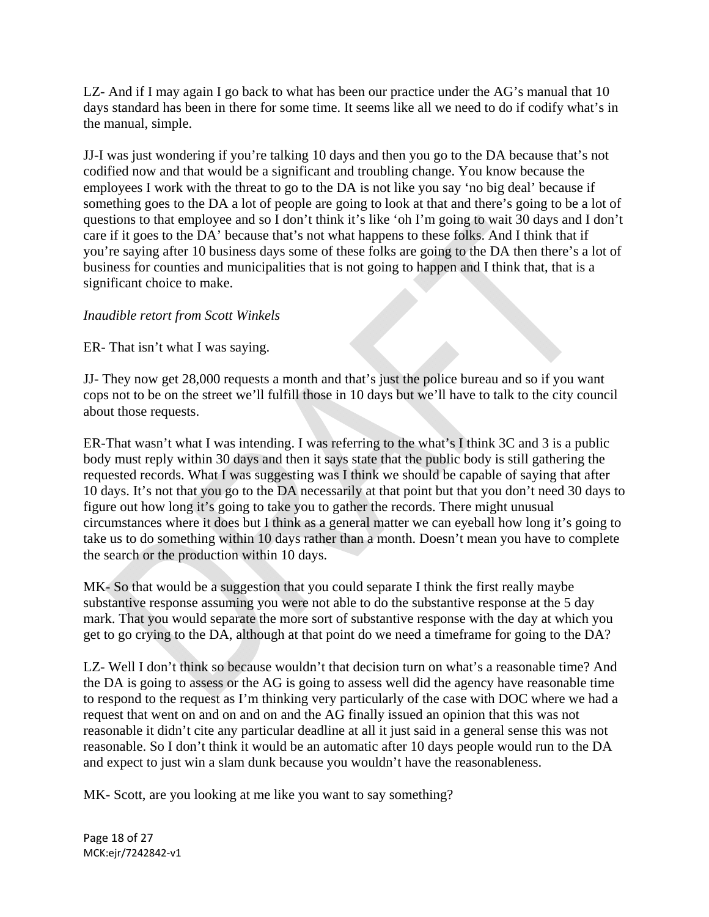LZ- And if I may again I go back to what has been our practice under the AG's manual that 10 days standard has been in there for some time. It seems like all we need to do if codify what's in the manual, simple.

JJ-I was just wondering if you're talking 10 days and then you go to the DA because that's not codified now and that would be a significant and troubling change. You know because the employees I work with the threat to go to the DA is not like you say 'no big deal' because if something goes to the DA a lot of people are going to look at that and there's going to be a lot of questions to that employee and so I don't think it's like 'oh I'm going to wait 30 days and I don't care if it goes to the DA' because that's not what happens to these folks. And I think that if you're saying after 10 business days some of these folks are going to the DA then there's a lot of business for counties and municipalities that is not going to happen and I think that, that is a significant choice to make.

# *Inaudible retort from Scott Winkels*

ER- That isn't what I was saying.

JJ- They now get 28,000 requests a month and that's just the police bureau and so if you want cops not to be on the street we'll fulfill those in 10 days but we'll have to talk to the city council about those requests.

ER-That wasn't what I was intending. I was referring to the what's I think 3C and 3 is a public body must reply within 30 days and then it says state that the public body is still gathering the requested records. What I was suggesting was I think we should be capable of saying that after 10 days. It's not that you go to the DA necessarily at that point but that you don't need 30 days to figure out how long it's going to take you to gather the records. There might unusual circumstances where it does but I think as a general matter we can eyeball how long it's going to take us to do something within 10 days rather than a month. Doesn't mean you have to complete the search or the production within 10 days.

MK- So that would be a suggestion that you could separate I think the first really maybe substantive response assuming you were not able to do the substantive response at the 5 day mark. That you would separate the more sort of substantive response with the day at which you get to go crying to the DA, although at that point do we need a timeframe for going to the DA?

LZ- Well I don't think so because wouldn't that decision turn on what's a reasonable time? And the DA is going to assess or the AG is going to assess well did the agency have reasonable time to respond to the request as I'm thinking very particularly of the case with DOC where we had a request that went on and on and on and the AG finally issued an opinion that this was not reasonable it didn't cite any particular deadline at all it just said in a general sense this was not reasonable. So I don't think it would be an automatic after 10 days people would run to the DA and expect to just win a slam dunk because you wouldn't have the reasonableness.

MK- Scott, are you looking at me like you want to say something?

Page 18 of 27 MCK:ejr/7242842‐v1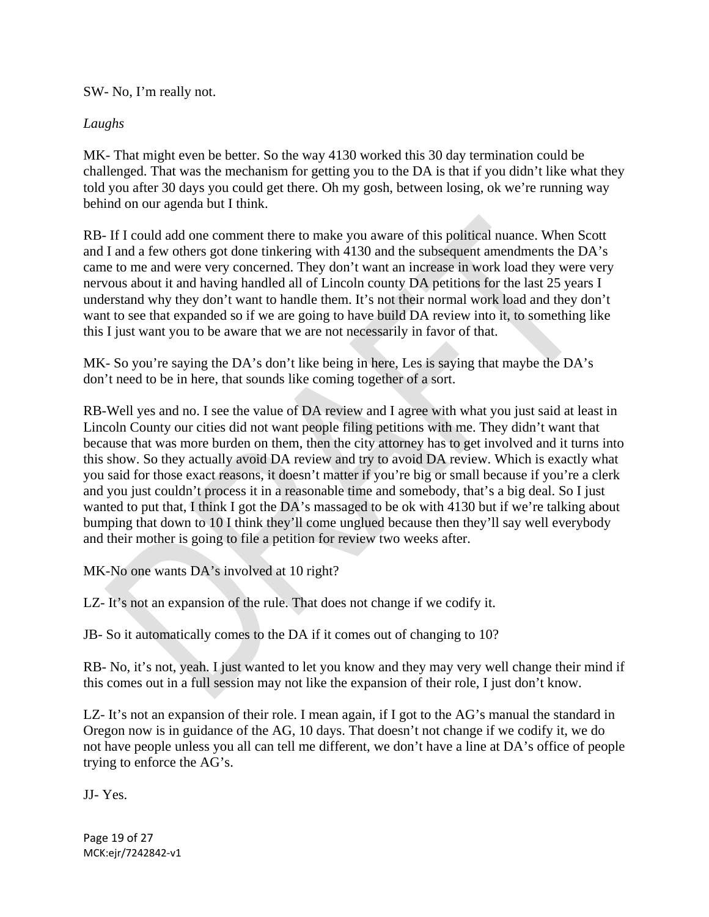SW- No, I'm really not.

# *Laughs*

MK- That might even be better. So the way 4130 worked this 30 day termination could be challenged. That was the mechanism for getting you to the DA is that if you didn't like what they told you after 30 days you could get there. Oh my gosh, between losing, ok we're running way behind on our agenda but I think.

RB- If I could add one comment there to make you aware of this political nuance. When Scott and I and a few others got done tinkering with 4130 and the subsequent amendments the DA's came to me and were very concerned. They don't want an increase in work load they were very nervous about it and having handled all of Lincoln county DA petitions for the last 25 years I understand why they don't want to handle them. It's not their normal work load and they don't want to see that expanded so if we are going to have build DA review into it, to something like this I just want you to be aware that we are not necessarily in favor of that.

MK- So you're saying the DA's don't like being in here, Les is saying that maybe the DA's don't need to be in here, that sounds like coming together of a sort.

RB-Well yes and no. I see the value of DA review and I agree with what you just said at least in Lincoln County our cities did not want people filing petitions with me. They didn't want that because that was more burden on them, then the city attorney has to get involved and it turns into this show. So they actually avoid DA review and try to avoid DA review. Which is exactly what you said for those exact reasons, it doesn't matter if you're big or small because if you're a clerk and you just couldn't process it in a reasonable time and somebody, that's a big deal. So I just wanted to put that, I think I got the DA's massaged to be ok with 4130 but if we're talking about bumping that down to 10 I think they'll come unglued because then they'll say well everybody and their mother is going to file a petition for review two weeks after.

MK-No one wants DA's involved at 10 right?

LZ- It's not an expansion of the rule. That does not change if we codify it.

JB- So it automatically comes to the DA if it comes out of changing to 10?

RB- No, it's not, yeah. I just wanted to let you know and they may very well change their mind if this comes out in a full session may not like the expansion of their role, I just don't know.

LZ-It's not an expansion of their role. I mean again, if I got to the AG's manual the standard in Oregon now is in guidance of the AG, 10 days. That doesn't not change if we codify it, we do not have people unless you all can tell me different, we don't have a line at DA's office of people trying to enforce the AG's.

JJ- Yes.

Page 19 of 27 MCK:ejr/7242842‐v1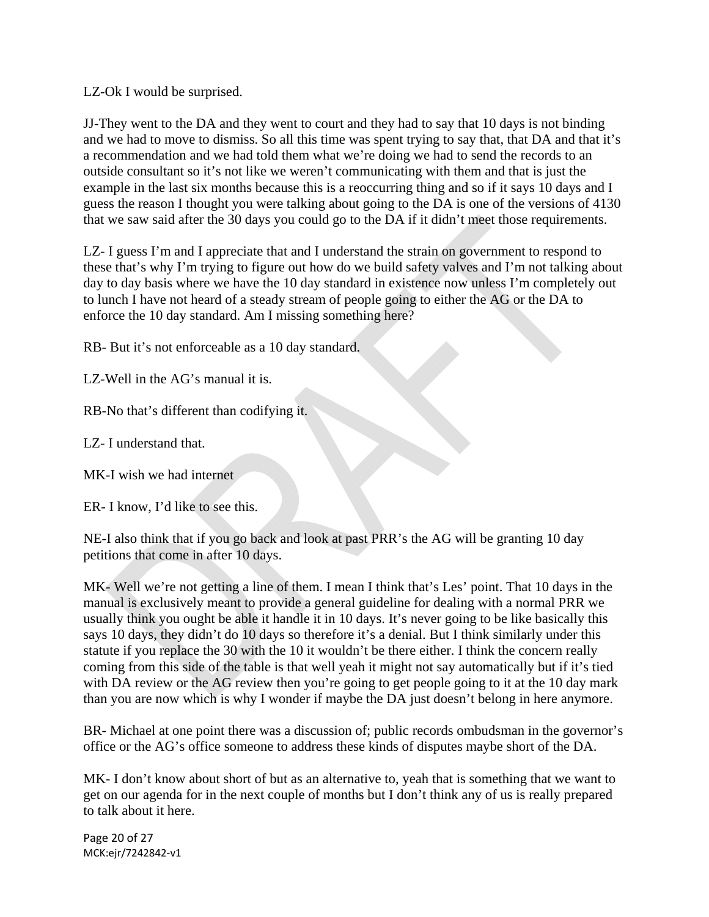LZ-Ok I would be surprised.

JJ-They went to the DA and they went to court and they had to say that 10 days is not binding and we had to move to dismiss. So all this time was spent trying to say that, that DA and that it's a recommendation and we had told them what we're doing we had to send the records to an outside consultant so it's not like we weren't communicating with them and that is just the example in the last six months because this is a reoccurring thing and so if it says 10 days and I guess the reason I thought you were talking about going to the DA is one of the versions of 4130 that we saw said after the 30 days you could go to the DA if it didn't meet those requirements.

LZ- I guess I'm and I appreciate that and I understand the strain on government to respond to these that's why I'm trying to figure out how do we build safety valves and I'm not talking about day to day basis where we have the 10 day standard in existence now unless I'm completely out to lunch I have not heard of a steady stream of people going to either the AG or the DA to enforce the 10 day standard. Am I missing something here?

RB- But it's not enforceable as a 10 day standard.

LZ-Well in the AG's manual it is.

RB-No that's different than codifying it.

LZ- I understand that.

MK-I wish we had internet

ER- I know, I'd like to see this.

NE-I also think that if you go back and look at past PRR's the AG will be granting 10 day petitions that come in after 10 days.

MK- Well we're not getting a line of them. I mean I think that's Les' point. That 10 days in the manual is exclusively meant to provide a general guideline for dealing with a normal PRR we usually think you ought be able it handle it in 10 days. It's never going to be like basically this says 10 days, they didn't do 10 days so therefore it's a denial. But I think similarly under this statute if you replace the 30 with the 10 it wouldn't be there either. I think the concern really coming from this side of the table is that well yeah it might not say automatically but if it's tied with DA review or the AG review then you're going to get people going to it at the 10 day mark than you are now which is why I wonder if maybe the DA just doesn't belong in here anymore.

BR- Michael at one point there was a discussion of; public records ombudsman in the governor's office or the AG's office someone to address these kinds of disputes maybe short of the DA.

MK- I don't know about short of but as an alternative to, yeah that is something that we want to get on our agenda for in the next couple of months but I don't think any of us is really prepared to talk about it here.

Page 20 of 27 MCK:ejr/7242842‐v1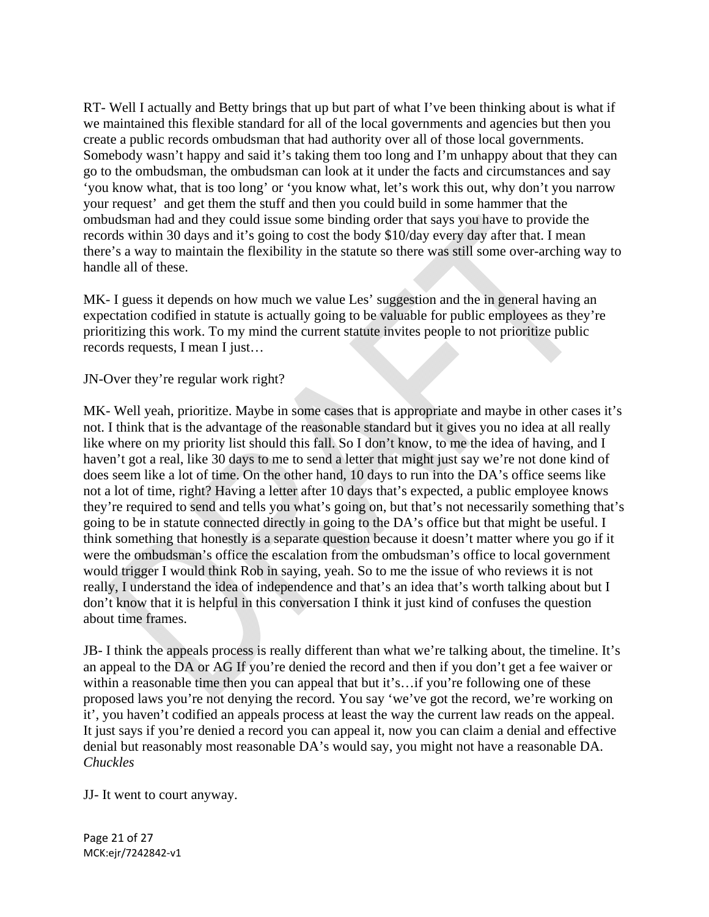RT- Well I actually and Betty brings that up but part of what I've been thinking about is what if we maintained this flexible standard for all of the local governments and agencies but then you create a public records ombudsman that had authority over all of those local governments. Somebody wasn't happy and said it's taking them too long and I'm unhappy about that they can go to the ombudsman, the ombudsman can look at it under the facts and circumstances and say 'you know what, that is too long' or 'you know what, let's work this out, why don't you narrow your request' and get them the stuff and then you could build in some hammer that the ombudsman had and they could issue some binding order that says you have to provide the records within 30 days and it's going to cost the body \$10/day every day after that. I mean there's a way to maintain the flexibility in the statute so there was still some over-arching way to handle all of these.

MK- I guess it depends on how much we value Les' suggestion and the in general having an expectation codified in statute is actually going to be valuable for public employees as they're prioritizing this work. To my mind the current statute invites people to not prioritize public records requests, I mean I just…

JN-Over they're regular work right?

MK- Well yeah, prioritize. Maybe in some cases that is appropriate and maybe in other cases it's not. I think that is the advantage of the reasonable standard but it gives you no idea at all really like where on my priority list should this fall. So I don't know, to me the idea of having, and I haven't got a real, like 30 days to me to send a letter that might just say we're not done kind of does seem like a lot of time. On the other hand, 10 days to run into the DA's office seems like not a lot of time, right? Having a letter after 10 days that's expected, a public employee knows they're required to send and tells you what's going on, but that's not necessarily something that's going to be in statute connected directly in going to the DA's office but that might be useful. I think something that honestly is a separate question because it doesn't matter where you go if it were the ombudsman's office the escalation from the ombudsman's office to local government would trigger I would think Rob in saying, yeah. So to me the issue of who reviews it is not really, I understand the idea of independence and that's an idea that's worth talking about but I don't know that it is helpful in this conversation I think it just kind of confuses the question about time frames.

JB- I think the appeals process is really different than what we're talking about, the timeline. It's an appeal to the DA or AG If you're denied the record and then if you don't get a fee waiver or within a reasonable time then you can appeal that but it's...if you're following one of these proposed laws you're not denying the record. You say 'we've got the record, we're working on it', you haven't codified an appeals process at least the way the current law reads on the appeal. It just says if you're denied a record you can appeal it, now you can claim a denial and effective denial but reasonably most reasonable DA's would say, you might not have a reasonable DA. *Chuckles* 

JJ- It went to court anyway.

Page 21 of 27 MCK:ejr/7242842‐v1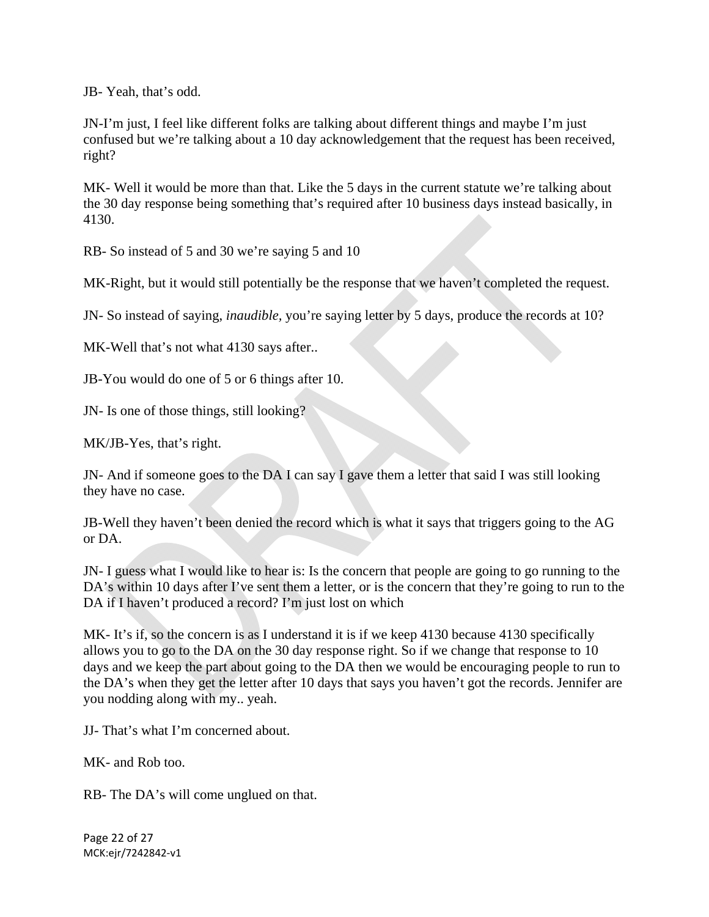JB- Yeah, that's odd.

JN-I'm just, I feel like different folks are talking about different things and maybe I'm just confused but we're talking about a 10 day acknowledgement that the request has been received, right?

MK- Well it would be more than that. Like the 5 days in the current statute we're talking about the 30 day response being something that's required after 10 business days instead basically, in 4130.

RB- So instead of 5 and 30 we're saying 5 and 10

MK-Right, but it would still potentially be the response that we haven't completed the request.

JN- So instead of saying, *inaudible,* you're saying letter by 5 days, produce the records at 10?

MK-Well that's not what 4130 says after...

JB-You would do one of 5 or 6 things after 10.

JN- Is one of those things, still looking?

MK/JB-Yes, that's right.

JN- And if someone goes to the DA I can say I gave them a letter that said I was still looking they have no case.

JB-Well they haven't been denied the record which is what it says that triggers going to the AG or DA.

JN- I guess what I would like to hear is: Is the concern that people are going to go running to the DA's within 10 days after I've sent them a letter, or is the concern that they're going to run to the DA if I haven't produced a record? I'm just lost on which

MK- It's if, so the concern is as I understand it is if we keep 4130 because 4130 specifically allows you to go to the DA on the 30 day response right. So if we change that response to 10 days and we keep the part about going to the DA then we would be encouraging people to run to the DA's when they get the letter after 10 days that says you haven't got the records. Jennifer are you nodding along with my.. yeah.

JJ- That's what I'm concerned about.

MK- and Rob too.

RB- The DA's will come unglued on that.

Page 22 of 27 MCK:ejr/7242842‐v1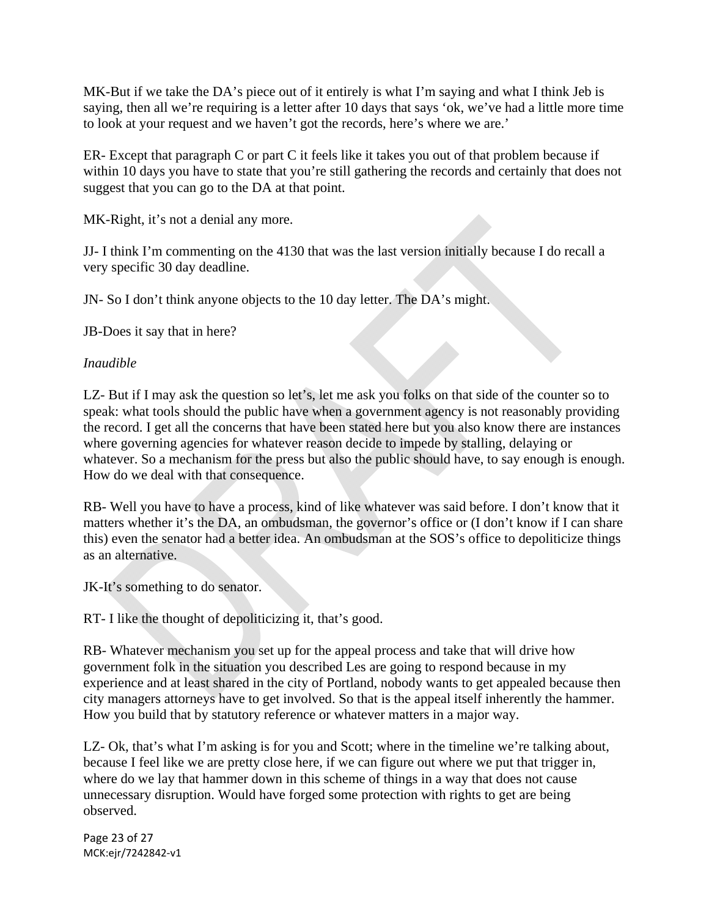MK-But if we take the DA's piece out of it entirely is what I'm saying and what I think Jeb is saying, then all we're requiring is a letter after 10 days that says 'ok, we've had a little more time to look at your request and we haven't got the records, here's where we are.'

ER- Except that paragraph C or part C it feels like it takes you out of that problem because if within 10 days you have to state that you're still gathering the records and certainly that does not suggest that you can go to the DA at that point.

MK-Right, it's not a denial any more.

JJ- I think I'm commenting on the 4130 that was the last version initially because I do recall a very specific 30 day deadline.

JN- So I don't think anyone objects to the 10 day letter. The DA's might.

JB-Does it say that in here?

#### *Inaudible*

LZ- But if I may ask the question so let's, let me ask you folks on that side of the counter so to speak: what tools should the public have when a government agency is not reasonably providing the record. I get all the concerns that have been stated here but you also know there are instances where governing agencies for whatever reason decide to impede by stalling, delaying or whatever. So a mechanism for the press but also the public should have, to say enough is enough. How do we deal with that consequence.

RB- Well you have to have a process, kind of like whatever was said before. I don't know that it matters whether it's the DA, an ombudsman, the governor's office or (I don't know if I can share this) even the senator had a better idea. An ombudsman at the SOS's office to depoliticize things as an alternative.

JK-It's something to do senator.

RT- I like the thought of depoliticizing it, that's good.

RB- Whatever mechanism you set up for the appeal process and take that will drive how government folk in the situation you described Les are going to respond because in my experience and at least shared in the city of Portland, nobody wants to get appealed because then city managers attorneys have to get involved. So that is the appeal itself inherently the hammer. How you build that by statutory reference or whatever matters in a major way.

LZ- Ok, that's what I'm asking is for you and Scott; where in the timeline we're talking about, because I feel like we are pretty close here, if we can figure out where we put that trigger in, where do we lay that hammer down in this scheme of things in a way that does not cause unnecessary disruption. Would have forged some protection with rights to get are being observed.

Page 23 of 27 MCK:ejr/7242842‐v1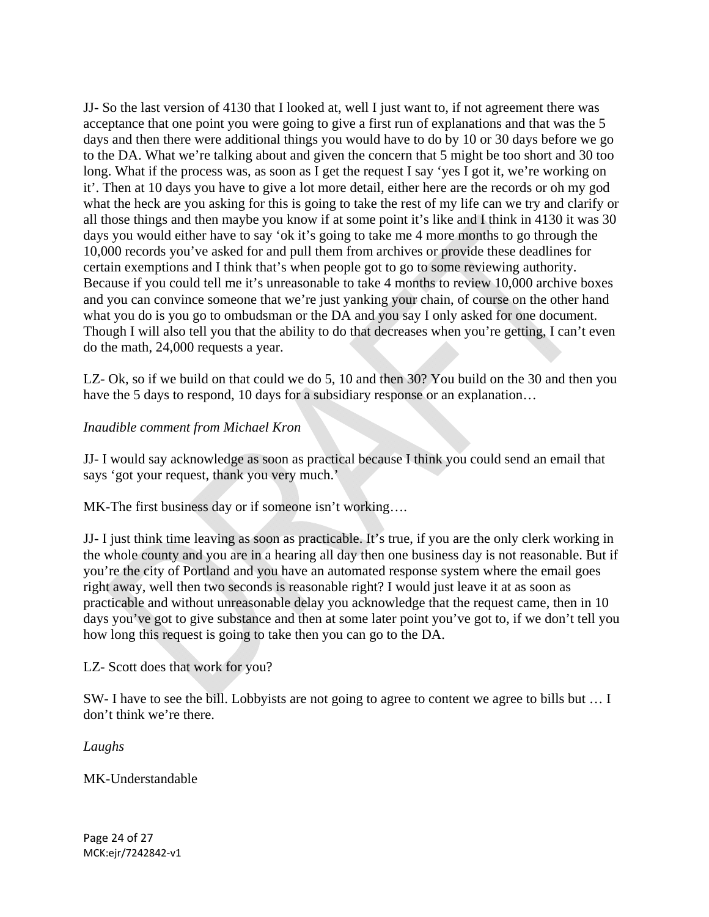JJ- So the last version of 4130 that I looked at, well I just want to, if not agreement there was acceptance that one point you were going to give a first run of explanations and that was the 5 days and then there were additional things you would have to do by 10 or 30 days before we go to the DA. What we're talking about and given the concern that 5 might be too short and 30 too long. What if the process was, as soon as I get the request I say 'yes I got it, we're working on it'. Then at 10 days you have to give a lot more detail, either here are the records or oh my god what the heck are you asking for this is going to take the rest of my life can we try and clarify or all those things and then maybe you know if at some point it's like and I think in 4130 it was 30 days you would either have to say 'ok it's going to take me 4 more months to go through the 10,000 records you've asked for and pull them from archives or provide these deadlines for certain exemptions and I think that's when people got to go to some reviewing authority. Because if you could tell me it's unreasonable to take 4 months to review 10,000 archive boxes and you can convince someone that we're just yanking your chain, of course on the other hand what you do is you go to ombudsman or the DA and you say I only asked for one document. Though I will also tell you that the ability to do that decreases when you're getting, I can't even do the math, 24,000 requests a year.

LZ- Ok, so if we build on that could we do 5, 10 and then 30? You build on the 30 and then you have the 5 days to respond, 10 days for a subsidiary response or an explanation...

# *Inaudible comment from Michael Kron*

JJ- I would say acknowledge as soon as practical because I think you could send an email that says 'got your request, thank you very much.'

MK-The first business day or if someone isn't working….

JJ- I just think time leaving as soon as practicable. It's true, if you are the only clerk working in the whole county and you are in a hearing all day then one business day is not reasonable. But if you're the city of Portland and you have an automated response system where the email goes right away, well then two seconds is reasonable right? I would just leave it at as soon as practicable and without unreasonable delay you acknowledge that the request came, then in 10 days you've got to give substance and then at some later point you've got to, if we don't tell you how long this request is going to take then you can go to the DA.

LZ- Scott does that work for you?

SW- I have to see the bill. Lobbyists are not going to agree to content we agree to bills but … I don't think we're there.

*Laughs* 

MK-Understandable

Page 24 of 27 MCK:ejr/7242842‐v1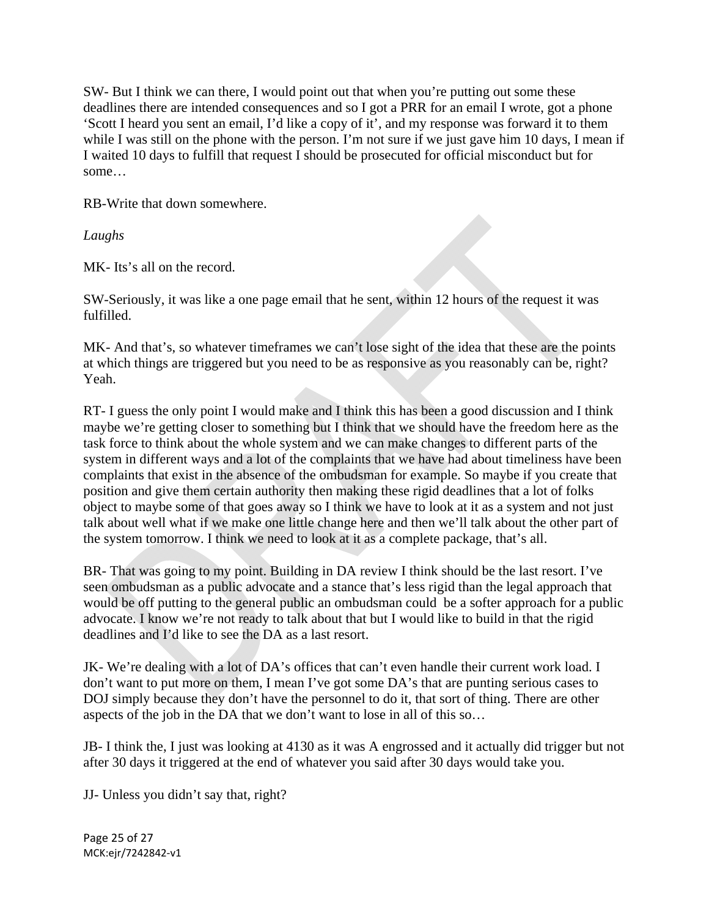SW- But I think we can there, I would point out that when you're putting out some these deadlines there are intended consequences and so I got a PRR for an email I wrote, got a phone 'Scott I heard you sent an email, I'd like a copy of it', and my response was forward it to them while I was still on the phone with the person. I'm not sure if we just gave him 10 days, I mean if I waited 10 days to fulfill that request I should be prosecuted for official misconduct but for some…

RB-Write that down somewhere.

*Laughs* 

MK- Its's all on the record.

SW-Seriously, it was like a one page email that he sent, within 12 hours of the request it was fulfilled.

MK- And that's, so whatever timeframes we can't lose sight of the idea that these are the points at which things are triggered but you need to be as responsive as you reasonably can be, right? Yeah.

RT- I guess the only point I would make and I think this has been a good discussion and I think maybe we're getting closer to something but I think that we should have the freedom here as the task force to think about the whole system and we can make changes to different parts of the system in different ways and a lot of the complaints that we have had about timeliness have been complaints that exist in the absence of the ombudsman for example. So maybe if you create that position and give them certain authority then making these rigid deadlines that a lot of folks object to maybe some of that goes away so I think we have to look at it as a system and not just talk about well what if we make one little change here and then we'll talk about the other part of the system tomorrow. I think we need to look at it as a complete package, that's all.

BR- That was going to my point. Building in DA review I think should be the last resort. I've seen ombudsman as a public advocate and a stance that's less rigid than the legal approach that would be off putting to the general public an ombudsman could be a softer approach for a public advocate. I know we're not ready to talk about that but I would like to build in that the rigid deadlines and I'd like to see the DA as a last resort.

JK- We're dealing with a lot of DA's offices that can't even handle their current work load. I don't want to put more on them, I mean I've got some DA's that are punting serious cases to DOJ simply because they don't have the personnel to do it, that sort of thing. There are other aspects of the job in the DA that we don't want to lose in all of this so…

JB- I think the, I just was looking at 4130 as it was A engrossed and it actually did trigger but not after 30 days it triggered at the end of whatever you said after 30 days would take you.

JJ- Unless you didn't say that, right?

Page 25 of 27 MCK:ejr/7242842‐v1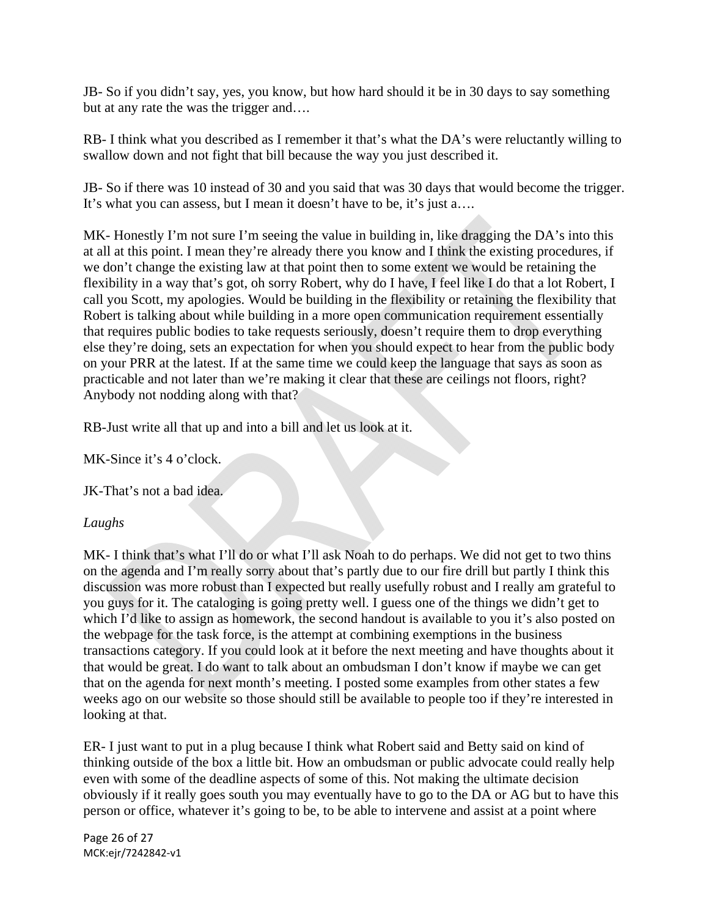JB- So if you didn't say, yes, you know, but how hard should it be in 30 days to say something but at any rate the was the trigger and….

RB- I think what you described as I remember it that's what the DA's were reluctantly willing to swallow down and not fight that bill because the way you just described it.

JB- So if there was 10 instead of 30 and you said that was 30 days that would become the trigger. It's what you can assess, but I mean it doesn't have to be, it's just a….

MK- Honestly I'm not sure I'm seeing the value in building in, like dragging the DA's into this at all at this point. I mean they're already there you know and I think the existing procedures, if we don't change the existing law at that point then to some extent we would be retaining the flexibility in a way that's got, oh sorry Robert, why do I have, I feel like I do that a lot Robert, I call you Scott, my apologies. Would be building in the flexibility or retaining the flexibility that Robert is talking about while building in a more open communication requirement essentially that requires public bodies to take requests seriously, doesn't require them to drop everything else they're doing, sets an expectation for when you should expect to hear from the public body on your PRR at the latest. If at the same time we could keep the language that says as soon as practicable and not later than we're making it clear that these are ceilings not floors, right? Anybody not nodding along with that?

RB-Just write all that up and into a bill and let us look at it.

MK-Since it's 4 o'clock.

JK-That's not a bad idea.

# *Laughs*

MK- I think that's what I'll do or what I'll ask Noah to do perhaps. We did not get to two thins on the agenda and I'm really sorry about that's partly due to our fire drill but partly I think this discussion was more robust than I expected but really usefully robust and I really am grateful to you guys for it. The cataloging is going pretty well. I guess one of the things we didn't get to which I'd like to assign as homework, the second handout is available to you it's also posted on the webpage for the task force, is the attempt at combining exemptions in the business transactions category. If you could look at it before the next meeting and have thoughts about it that would be great. I do want to talk about an ombudsman I don't know if maybe we can get that on the agenda for next month's meeting. I posted some examples from other states a few weeks ago on our website so those should still be available to people too if they're interested in looking at that.

ER- I just want to put in a plug because I think what Robert said and Betty said on kind of thinking outside of the box a little bit. How an ombudsman or public advocate could really help even with some of the deadline aspects of some of this. Not making the ultimate decision obviously if it really goes south you may eventually have to go to the DA or AG but to have this person or office, whatever it's going to be, to be able to intervene and assist at a point where

Page 26 of 27 MCK:ejr/7242842‐v1